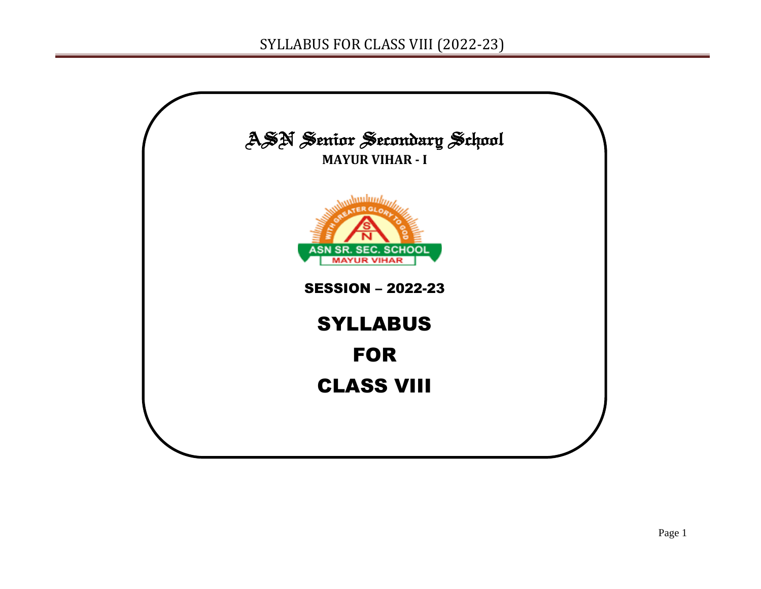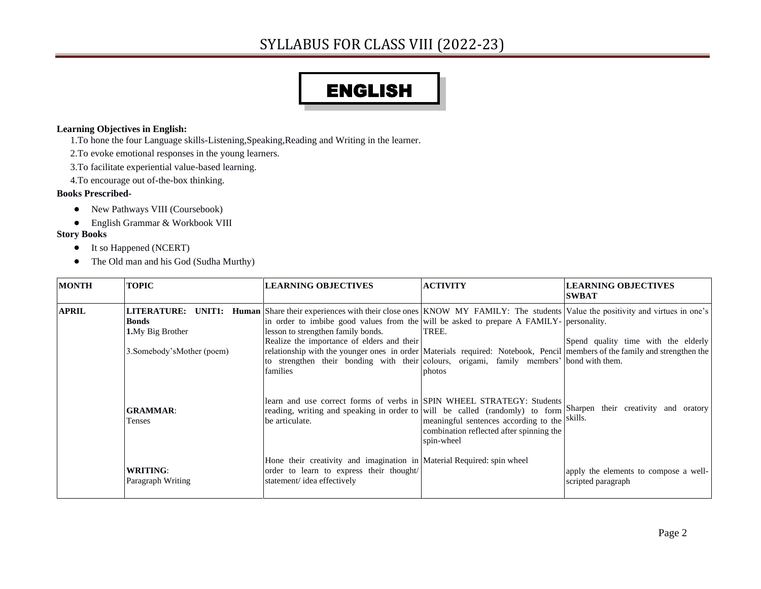# ENGLISH

#### **Learning Objectives in English:**

- 1.To hone the four Language skills-Listening,Speaking,Reading and Writing in the learner.
- 2.To evoke emotional responses in the young learners.
- 3.To facilitate experiential value-based learning.
- 4.To encourage out of-the-box thinking.

#### **Books Prescribed-**

- New Pathways VIII (Coursebook)
- English Grammar & Workbook VIII

#### **Story Books**

- It so Happened (NCERT)
- The Old man and his God (Sudha Murthy)

| <b>MONTH</b>                                                                                                         | <b>TOPIC</b>                         | <b>LEARNING OBJECTIVES</b>                                                                                                                                                                                                                                                                                                                                                                                                                                                                                                                                               | <b>ACTIVITY</b>                                                                                         | <b>LEARNING OBJECTIVES</b><br><b>SWBAT</b>                  |
|----------------------------------------------------------------------------------------------------------------------|--------------------------------------|--------------------------------------------------------------------------------------------------------------------------------------------------------------------------------------------------------------------------------------------------------------------------------------------------------------------------------------------------------------------------------------------------------------------------------------------------------------------------------------------------------------------------------------------------------------------------|---------------------------------------------------------------------------------------------------------|-------------------------------------------------------------|
| <b>APRIL</b><br><b>Bonds</b><br><b>1.</b> My Big Brother<br>3. Somebody's Mother (poem)<br><b>GRAMMAR:</b><br>Tenses |                                      | <b>LITERATURE:</b> UNIT1: Human Share their experiences with their close ones KNOW MY FAMILY: The students Value the positivity and virtues in one's<br>in order to imbibe good values from the will be asked to prepare A FAMILY- personality.<br>lesson to strengthen family bonds.<br>Realize the importance of elders and their<br>relationship with the younger ones in order Materials required: Notebook, Pencil members of the family and strengthen the<br>to strengthen their bonding with their colours, origami, family members' bond with them.<br>families | TREE.<br>photos                                                                                         | Spend quality time with the elderly                         |
|                                                                                                                      |                                      | learn and use correct forms of verbs in SPIN WHEEL STRATEGY: Students<br>reading, writing and speaking in order to will be called (randomly) to form Sharpen their creativity and oratory<br>be articulate.                                                                                                                                                                                                                                                                                                                                                              | meaningful sentences according to the skills.<br>combination reflected after spinning the<br>spin-wheel |                                                             |
|                                                                                                                      | <b>WRITING:</b><br>Paragraph Writing | Hone their creativity and imagination in Material Required: spin wheel<br>order to learn to express their thought/<br>statement/idea effectively                                                                                                                                                                                                                                                                                                                                                                                                                         |                                                                                                         | apply the elements to compose a well-<br>scripted paragraph |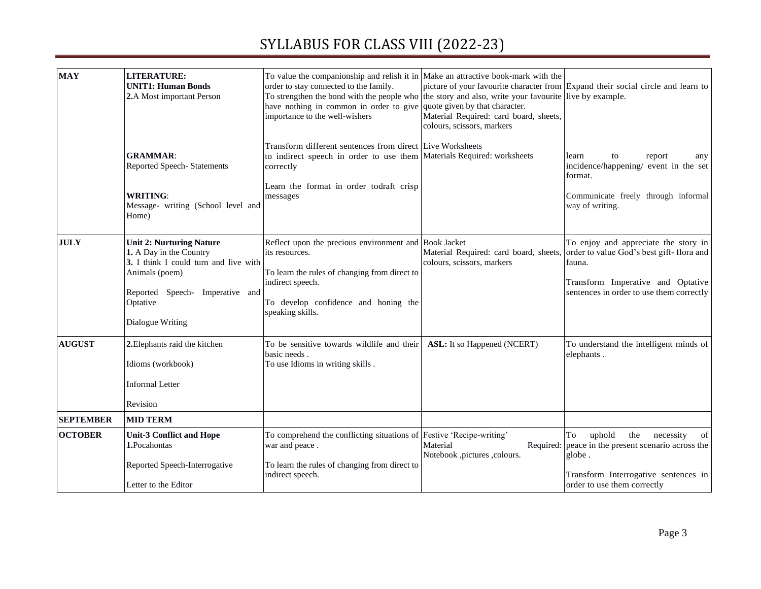| <b>MAY</b>       | <b>LITERATURE:</b><br><b>UNIT1: Human Bonds</b><br>2.A Most important Person                                                                                                             | To value the companionship and relish it in Make an attractive book-mark with the<br>order to stay connected to the family.<br>To strengthen the bond with the people who the story and also, write your favourite live by example.<br>have nothing in common in order to give quote given by that character.<br>importance to the well-wishers | Material Required: card board, sheets,<br>colours, scissors, markers | picture of your favourite character from Expand their social circle and learn to                                                                                                                                   |
|------------------|------------------------------------------------------------------------------------------------------------------------------------------------------------------------------------------|-------------------------------------------------------------------------------------------------------------------------------------------------------------------------------------------------------------------------------------------------------------------------------------------------------------------------------------------------|----------------------------------------------------------------------|--------------------------------------------------------------------------------------------------------------------------------------------------------------------------------------------------------------------|
|                  | <b>GRAMMAR:</b><br>Reported Speech- Statements                                                                                                                                           | Transform different sentences from direct Live Worksheets<br>to indirect speech in order to use them Materials Required: worksheets<br>correctly                                                                                                                                                                                                |                                                                      | learn<br>to<br>report<br>any<br>incidence/happening/ event in the set<br>format.                                                                                                                                   |
|                  | <b>WRITING:</b><br>Message- writing (School level and<br>Home)                                                                                                                           | Learn the format in order todraft crisp<br>messages                                                                                                                                                                                                                                                                                             |                                                                      | Communicate freely through informal<br>way of writing.                                                                                                                                                             |
| <b>JULY</b>      | <b>Unit 2: Nurturing Nature</b><br>1. A Day in the Country<br>3. I think I could turn and live with<br>Animals (poem)<br>Reported Speech- Imperative and<br>Optative<br>Dialogue Writing | Reflect upon the precious environment and Book Jacket<br>its resources.<br>To learn the rules of changing from direct to<br>indirect speech.<br>To develop confidence and honing the<br>speaking skills.                                                                                                                                        | colours, scissors, markers                                           | To enjoy and appreciate the story in<br>Material Required: card board, sheets, order to value God's best gift-flora and<br>fauna.<br>Transform Imperative and Optative<br>sentences in order to use them correctly |
| <b>AUGUST</b>    | 2. Elephants raid the kitchen<br>Idioms (workbook)<br><b>Informal Letter</b><br>Revision                                                                                                 | To be sensitive towards wildlife and their<br>basic needs.<br>To use Idioms in writing skills.                                                                                                                                                                                                                                                  | ASL: It so Happened (NCERT)                                          | To understand the intelligent minds of<br>elephants.                                                                                                                                                               |
| <b>SEPTEMBER</b> | <b>MID TERM</b>                                                                                                                                                                          |                                                                                                                                                                                                                                                                                                                                                 |                                                                      |                                                                                                                                                                                                                    |
| <b>OCTOBER</b>   | <b>Unit-3 Conflict and Hope</b><br>1.Pocahontas                                                                                                                                          | To comprehend the conflicting situations of Festive 'Recipe-writing'<br>war and peace.                                                                                                                                                                                                                                                          | Material<br>Notebook ,pictures ,colours.                             | uphold<br>the<br>necessity<br>To<br>of<br>Required: peace in the present scenario across the<br>globe.                                                                                                             |
|                  | Reported Speech-Interrogative<br>Letter to the Editor                                                                                                                                    | To learn the rules of changing from direct to<br>indirect speech.                                                                                                                                                                                                                                                                               |                                                                      | Transform Interrogative sentences in<br>order to use them correctly                                                                                                                                                |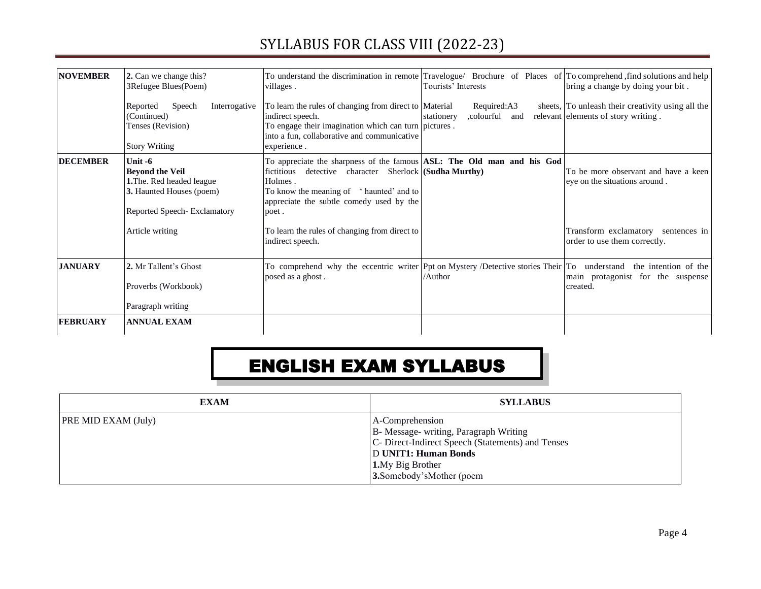| <b>NOVEMBER</b> | 2. Can we change this?<br>3Refugee Blues(Poem)                                                                                     | To understand the discrimination in remote Travelogue/ Brochure of Places of To comprehend, find solutions and help<br>villages.                                                                                                               | Tourists' Interests                         | bring a change by doing your bit.                                                        |
|-----------------|------------------------------------------------------------------------------------------------------------------------------------|------------------------------------------------------------------------------------------------------------------------------------------------------------------------------------------------------------------------------------------------|---------------------------------------------|------------------------------------------------------------------------------------------|
|                 | Speech<br>Interrogative<br>Reported<br>(Continued)<br>Tenses (Revision)<br><b>Story Writing</b>                                    | To learn the rules of changing from direct to Material<br>indirect speech.<br>To engage their imagination which can turn pictures.<br>into a fun, collaborative and communicative<br>experience.                                               | Required:A3<br>,colourful and<br>stationery | sheets, To unleash their creativity using all the<br>relevant elements of story writing. |
| <b>DECEMBER</b> | Unit $-6$<br><b>Beyond the Veil</b><br><b>1.</b> The. Red headed league<br>3. Haunted Houses (poem)<br>Reported Speech-Exclamatory | To appreciate the sharpness of the famous ASL: The Old man and his God<br>detective character Sherlock (Sudha Murthy)<br>fictitious<br>Holmes.<br>To know the meaning of 'haunted' and to<br>appreciate the subtle comedy used by the<br>poet. |                                             | To be more observant and have a keen<br>eye on the situations around.                    |
|                 | Article writing                                                                                                                    | To learn the rules of changing from direct to<br>indirect speech.                                                                                                                                                                              |                                             | Transform exclamatory sentences in<br>order to use them correctly.                       |
| <b>JANUARY</b>  | 2. Mr Tallent's Ghost<br>Proverbs (Workbook)<br>Paragraph writing                                                                  | To comprehend why the eccentric writer Ppt on Mystery /Detective stories Their To understand<br>posed as a ghost.                                                                                                                              | /Author                                     | the intention of the<br>main protagonist for the suspense<br>created.                    |
| <b>FEBRUARY</b> | <b>ANNUAL EXAM</b>                                                                                                                 |                                                                                                                                                                                                                                                |                                             |                                                                                          |

# ENGLISH EXAM SYLLABUS

| <b>EXAM</b>                | <b>SYLLABUS</b>                                                                                                                                                                                       |
|----------------------------|-------------------------------------------------------------------------------------------------------------------------------------------------------------------------------------------------------|
| <b>PRE MID EXAM (July)</b> | A-Comprehension<br>B- Message- writing, Paragraph Writing<br>C- Direct-Indirect Speech (Statements) and Tenses<br><b>D UNIT1: Human Bonds</b><br><b>1.</b> My Big Brother<br>3.Somebody'sMother (poem |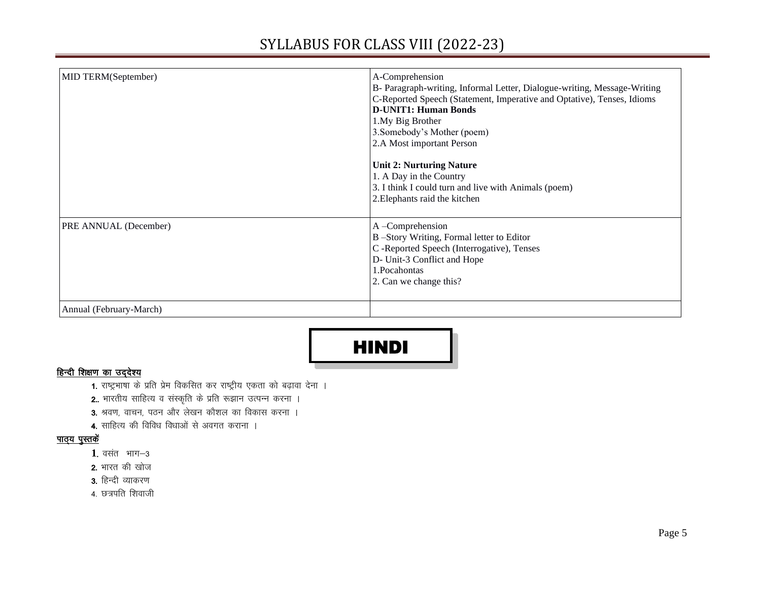| MID TERM(September)          | A-Comprehension<br>B- Paragraph-writing, Informal Letter, Dialogue-writing, Message-Writing<br>C-Reported Speech (Statement, Imperative and Optative), Tenses, Idioms<br><b>D-UNIT1: Human Bonds</b><br>1.My Big Brother<br>3. Somebody's Mother (poem) |
|------------------------------|---------------------------------------------------------------------------------------------------------------------------------------------------------------------------------------------------------------------------------------------------------|
|                              | 2.A Most important Person<br><b>Unit 2: Nurturing Nature</b><br>1. A Day in the Country<br>3. I think I could turn and live with Animals (poem)<br>2. Elephants raid the kitchen                                                                        |
| <b>PRE ANNUAL (December)</b> | A-Comprehension<br>B-Story Writing, Formal letter to Editor<br>C -Reported Speech (Interrogative), Tenses<br>D- Unit-3 Conflict and Hope<br>1. Pocahontas<br>2. Can we change this?                                                                     |
| Annual (February-March)      |                                                                                                                                                                                                                                                         |



#### हिन्दी शिक्षण का उद्देश्य

- 1. राष्ट्रभाषा के प्रति प्रेम विकसित कर राष्ट्रीय एकता को बढ़ावा देना ।
- 2.. भारतीय साहित्य व संस्कृति के प्रति रूझान उत्पन्न करना ।
- 3. श्रवण, वाचन, पठन और लेखन कौशल का विकास करना ।
- 4. साहित्य की विविध विधाओं से अवगत कराना ।

#### <u>पाठ्य पुस्तकें</u>

- 1. वसंत भाग-3
- 2. भारत की खोज
- 3. हिन्दी व्याकरण
- 4. छत्रपति शिवाजी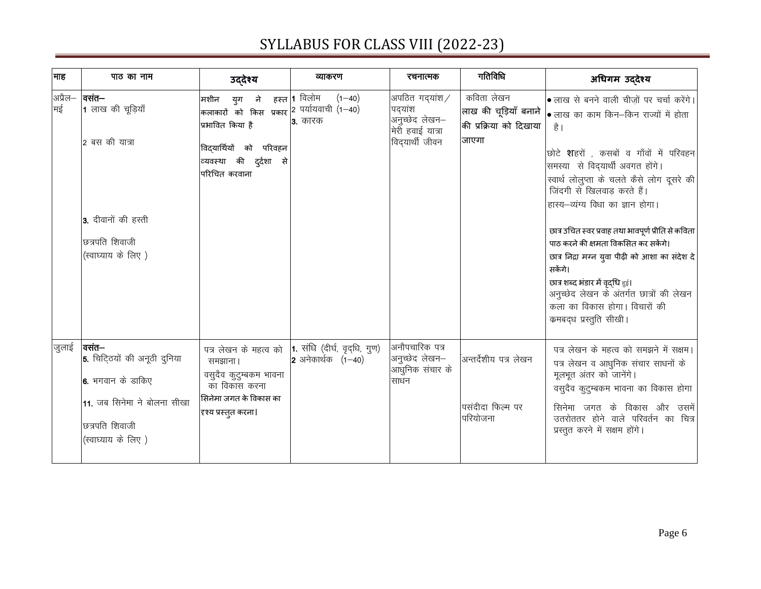| माह   | पाठ का नाम                                                                                                                                | उद्देश्य                                                                                                                                                     | व्याकरण                                              | रचनात्मक                                                                        | गतिविधि                                                    | अधिगम उद्देश्य                                                                                                                                                                                                                                                                                                                                                                                                                                                                                                                                                                                                                         |
|-------|-------------------------------------------------------------------------------------------------------------------------------------------|--------------------------------------------------------------------------------------------------------------------------------------------------------------|------------------------------------------------------|---------------------------------------------------------------------------------|------------------------------------------------------------|----------------------------------------------------------------------------------------------------------------------------------------------------------------------------------------------------------------------------------------------------------------------------------------------------------------------------------------------------------------------------------------------------------------------------------------------------------------------------------------------------------------------------------------------------------------------------------------------------------------------------------------|
| मई    | अप्रैल−   <b>वसंत−</b><br>1 लाख की चूड़ियाँ<br>2 बस की यात्रा<br>3. दीवानों की हस्ती<br>छत्रपति शिवाजी<br>(स्वाघ्याय के लिए)              | मशीन युग ने<br>'कलाकारों को किस प्रकार $\vert$ 2 पर्यायवाची (1—40)<br>प्रभावित किया है<br>विद्यार्थियों को परिवहन<br>व्यवस्था की दुर्दशा से<br>परिचित करवाना | हस्त  <b>1</b> विलोम<br>$(1 - 40)$<br><b>3.</b> कारक | अपठित गदयांश/<br>पदयांश<br>अनुच्छेद लेखन–<br>मेरी हवाई यात्रा<br>विदयार्थी जीवन | कविता लेखन<br>की प्रक्रिया को दिखाया<br>जाएगा              | • लाख से बनने वाली चीज़ों पर चर्चा करेंगे।<br> लाख की चूड़ियाँ बनाने   <sub>● लाख</sub> का काम किन—किन राज्यों में होता<br>है ।<br>छोटे शहरों , कसबों व गाँवों में परिवहन<br>समस्या से विद्यार्थी अवगत होंगे।<br>स्वार्थ लोलुप्ता के चलते कैसे लोग दूसरे की<br>जिंदगी से खिलवाड करते हैं।<br>हास्य-व्यंग्य विधा का ज्ञान होगा।<br>छात्र उचित स्वर प्रवाह तथा भावपूर्ण प्रीति से कविता<br>पाठ करने की क्षमता विकसित कर सकेंगे।<br>छात्र निद्रा मग्न युवा पीढ़ी को आशा का संदेश दे<br>सकेंगे।<br>छात्र शब्द भंडार में वृद्धि हुई।<br>अनुच्छेद लेखन के अंतर्गत छात्रों की लेखन<br>कला का विकास होगा। विचारों की<br>कमबद्ध प्रस्तुति सीखी। |
| जुलाई | वसंत—<br>5. चिटि्ठयों की अनूठी दुनिया<br><b>6.</b> भगवान के डाकिए<br>11. जब सिनेमा ने बोलना सीखा<br>छत्रपति शिवाजी<br>(स्वाघ्याय के लिए ) | पत्र लेखन के महत्व को<br>समझाना।<br>वसुदैव कुटुम्बकम भावना<br>का विकास करना<br>सिनेमा जगत के विकास का<br>दृश्य प्रस्तुत करना।                                | 1. संधि (दीर्घ, वृद्धि, गुण)<br>2 अनेकार्थक $(1-40)$ | अनौपचारिक पत्र<br>अनुच्छेद लेखन–<br>आधुनिक संचार के<br>साधन                     | .<br>अन्तर्देशीय पत्र लेखन<br>पसंदीदा फिल्म पर<br>परियोजना | पत्र लेखन के महत्व को समझने में सक्षम।<br>पत्र लेखन व आधुनिक संचार साधनों के<br>मूलभूत अंतर को जानेंगे।<br>वसुदैव कुटुम्बकम भावना का विकास होगा<br>सिनेमा जगत के विकास और उसमें<br>उतरोततर होने वाले परिवर्तन का चित्र<br>प्रस्तुत करने में सक्षम होंगे।                                                                                                                                                                                                                                                                                                                                                                               |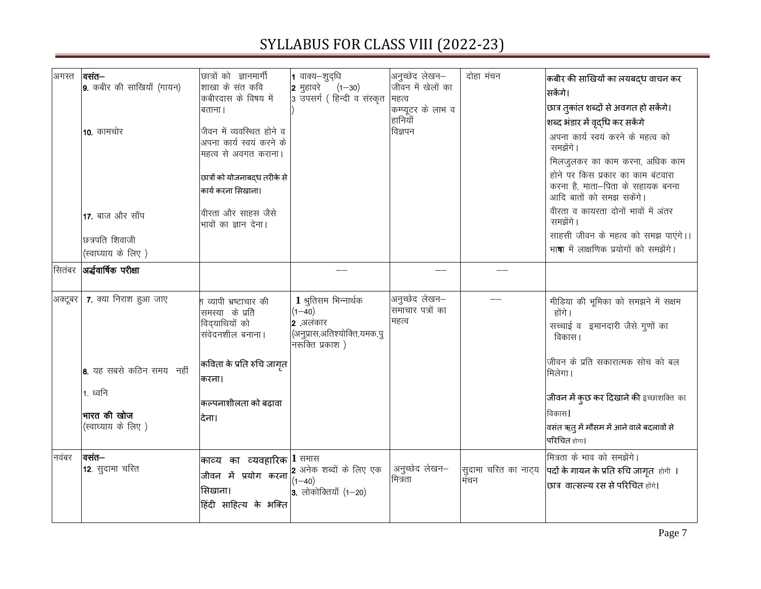| अगस्त   | $ $ वसंत—<br>9. कबीर की साखियाँ (गायन)<br><b>10.</b> कामचोर<br>17. बाज और साँप<br>छत्रपति शिवाजी<br>(स्वाघ्याय के लिए) | छात्रों को ज्ञानमार्गी<br>शाखा के संत कवि<br>कबीरदास के विषय में<br>बताना ।<br>जीवन में व्यवस्थित होने व<br>अपना कार्य स्वयं करने के<br>महत्व से अवगत कराना।<br>छात्रों को योजनाबद्ध तरीके से<br>कार्य करना सिखाना।<br>वीरता और साहस जैसे<br>भावों का ज्ञान देना। | 1 वाक्य-शुद्धि<br>$ $ 2 मुहावरे<br>$(1 - 30)$<br>3 उपसर्ग ( हिन्दी व संस्कृत                                  | अनुच्छेद लेखन–<br>जीवन में खेलों का<br>महत्व<br> कम्प्यूटर के लाभ व<br> हानियाँ<br>विज्ञपन | दोहा मंचन                    | कबीर की साखियों का लयबद्ध वाचन कर<br>सकेंगे।<br>छात्र तुकांत शब्दों से अवगत हो सकेंगे।<br>शब्द भंडार में वृद्धि कर सकेंगे<br>अपना कार्य स्वयं करने के महत्व को<br>समझेंगे।<br>मिलजुलकर का काम करना, अधिक काम<br>होने पर किस प्रकार का काम बंटवारा<br>करना है, माता-पिता के सहायक बनना<br>आदि बातों को समझ सकेंगे।<br>वीरता व कायरता दोनों भावों में अंतर<br>समझेंगे।<br>साहसी जीवन के महत्व को समझ पाएंगे।।<br>भा <b>षा</b> में लाक्षणिक प्रयोगों को समझेंगे। |
|---------|------------------------------------------------------------------------------------------------------------------------|-------------------------------------------------------------------------------------------------------------------------------------------------------------------------------------------------------------------------------------------------------------------|---------------------------------------------------------------------------------------------------------------|--------------------------------------------------------------------------------------------|------------------------------|---------------------------------------------------------------------------------------------------------------------------------------------------------------------------------------------------------------------------------------------------------------------------------------------------------------------------------------------------------------------------------------------------------------------------------------------------------------|
|         | सितंबर <b>अर्द्धवार्षिक परीक्षा</b>                                                                                    |                                                                                                                                                                                                                                                                   |                                                                                                               |                                                                                            |                              |                                                                                                                                                                                                                                                                                                                                                                                                                                                               |
| अक्टूबर | 7. क्या निराश हुआ जाए<br>8. यह सबसे कठिन समय नहीं<br>1. ध्वनि<br>भारत की खोज<br>(स्वाघ्याय के लिए)                     | .<br>श व्यापी भ्रष्टाचार की<br>समस्या के प्रति<br>विद्याथियों को<br>संवेदनशील बनाना।<br>कविता के प्रति रुचि जागृत<br>करना।<br>कल्पनाशीलता को बढ़ावा<br>देना।                                                                                                      | 1 श्रुतिसम भिन्नार्थक<br>$(1 - 40)$<br>$ 2 \rangle$ अलंकार<br>(अनुप्रास,अतिश्योक्ति,यमक,पु<br>नरूक्ति प्रकाश) | अनुच्छेद लेखन-<br>समाचार पत्रों का<br>महत्व                                                |                              | मीडिया की भूमिका को समझने में सक्षम<br>होंगे।<br>सच्चाई व इमानदारी जैसे गुणों का<br>विकास।<br>जीवन के प्रति सकारात्मक सोच को बल<br>मिलेगा।<br>जीवन में कुछ कर दिखाने की इच्छाशक्ति का<br>विकास।<br>वसंत ऋतु में मौसम में आने वाले बदलावों से<br>परिचित होगा।                                                                                                                                                                                                  |
| नवंबर   | वसंत—<br>12. सुदामा चरित                                                                                               | काव्य का व्यवहारिक $ 1\>$ समास<br>जीवन में प्रयोग करना<br>सिखाना।<br>हिंदी साहित्य के भक्ति                                                                                                                                                                       | 2 अनेक शब्दों के लिए एक<br>$(1 - 40)$<br>$\vert$ 3. लोकोक्तियाँ (1–20)                                        | अनुच्छेद लेखन–<br>मित्रता                                                                  | सुदामा चरित का नाट्य<br>मंचन | मित्रता के भाव को समझेंगे।<br>पदों के गायन के प्रति रुचि जागृत होगी ।<br>छात्र वात्सल्य रस से परिचित होंगे।                                                                                                                                                                                                                                                                                                                                                   |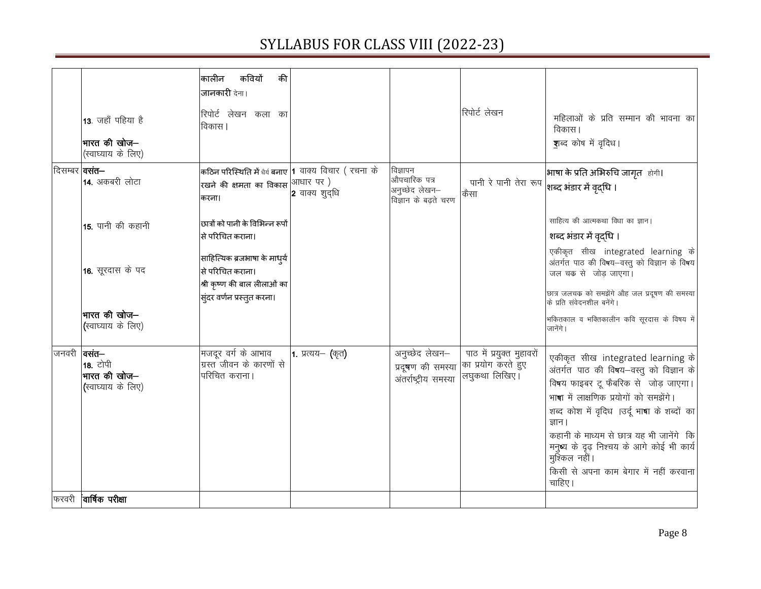|                           | $13.$ जहाँ पहिया है<br>भारत की खोज—<br>(स्वाघ्याय के लिए) | कवियों<br>की<br>कालीन<br>जानकारी देना।<br>रिपोर्ट लेखन कला का<br>विकास                                                                                         |                   |                                                                    | रिपोर्ट लेखन                                                     | महिलाओं के प्रति सम्मान की भावना का<br>विकास।<br><b>श</b> ब्द कोष में वृदिध।                                                                                                                                                                                                                                                                                                        |
|---------------------------|-----------------------------------------------------------|----------------------------------------------------------------------------------------------------------------------------------------------------------------|-------------------|--------------------------------------------------------------------|------------------------------------------------------------------|-------------------------------------------------------------------------------------------------------------------------------------------------------------------------------------------------------------------------------------------------------------------------------------------------------------------------------------------------------------------------------------|
| दिसम्बर   <b>वसत–</b>     | 14. अकबरी लोटा                                            | कठिन परिस्थिति में धैर्य बनाए $\, $ 1 वाक्य $\,$ विचार $\,$ ( रचना $\,$ के<br>रखने की क्षमता का विकास $\left  \textrm{\textdegree} \right $ आधार पर )<br>करना। | $ 2$ वाक्य शुद्धि | विज्ञापन<br>औपचारिक पत्र<br>अनुच्छेद लेखन-<br>विज्ञान के बढ़ते चरण | पानी रे पानी तेरा रूप<br>कैसा                                    | भाषा के प्रति अभिरुचि जागृत होगी।<br>शब्द भंडार में वृद्धि ।                                                                                                                                                                                                                                                                                                                        |
|                           | 15. पानी की कहानी<br>16. सूरदास के पद                     | छात्रों को पानी के विभिन्न रूपों<br>से परिचित कराना।<br>साहित्यिक ब्रजभाषा के माध्य<br>से परिचित कराना।<br>श्री कृष्ण की बाल लीलाओं का                         |                   |                                                                    |                                                                  | साहित्य की आत्मकथा विधा का ज्ञान।<br>शब्द भंडार में वृद्धि ।<br>एकीकृत सीख integrated learning के<br>अंतर्गत पाठ की विषय-वस्तु को विज्ञान के विषय<br>जल चक्र से जोड़ जाएगा।<br>छात्र जलचक को समझेंगे औह जल प्रदूषण की समस्या                                                                                                                                                        |
|                           | भारत की खोज—<br>(स्वाघ्याय के लिए)                        | स्ंदर वर्णन प्रस्तुत करना।                                                                                                                                     |                   |                                                                    |                                                                  | के प्रति संवेदनशील बनेंगे।<br>भकितकाल व भक्तिकालीन कवि सूरदास के विषय में<br>जानेंगे।                                                                                                                                                                                                                                                                                               |
| $ $ जनवरी ।तसं <b>त</b> — | <b>18.</b> टोपी<br>भारत की खोज–<br>(स्वाघ्याय के लिए)     | मजदूर वर्ग के आभाव<br>ग्रस्त जीवन के कारणों से<br>परिचित कराना।                                                                                                | 1. प्रत्यय– (कृत) | अनुच्छेद लेखन–<br>प्रदूषण की समस्या<br>अंतर्राष्ट्रीय समस्या       | पाठ में प्रयुक्त मुहावरों<br>का प्रयोग करते हुए<br>लघुकथा लिखिए। | एकीकृत सीख integrated learning के<br>अंतर्गत पाठ की विषय-वस्तु को विज्ञान के<br>विषय फाइबर टू फैबरिक से जोड़ जाएगा।<br>भाषा में लाक्षणिक प्रयोगों को समझेंगे<br>शब्द कोश में वृदिध ।उर्दू भाषा के शब्दों का<br>जान ।<br>कहानी के माध्यम से छात्र यह भी जानेंगे कि<br>मनुष्य के दृढ़ निश्चय के आगे कोई भी कार्य<br>मुश्किल नहीं।<br>किसी से अपना काम बेगार में नहीं करवाना<br>चाहिए। |
|                           | फरवरी <b>वार्षिक परीक्षा</b>                              |                                                                                                                                                                |                   |                                                                    |                                                                  |                                                                                                                                                                                                                                                                                                                                                                                     |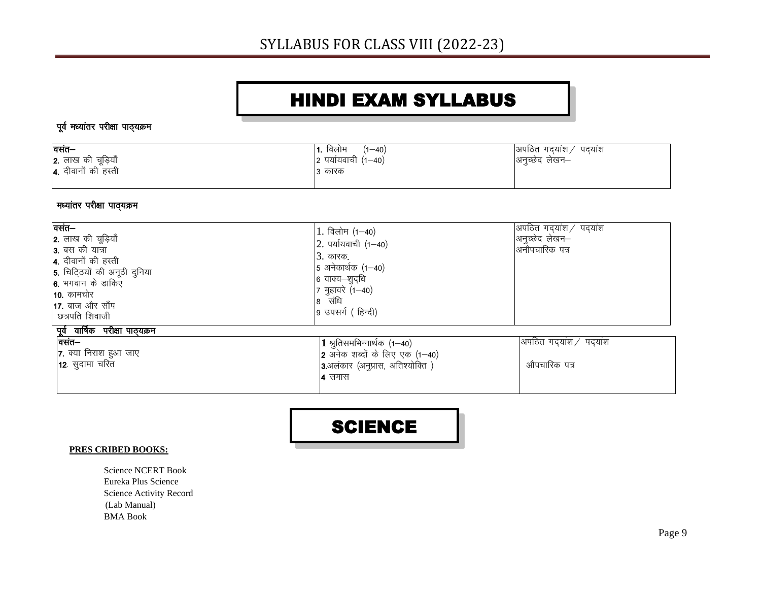#### HINDI EXAM SYLLABUS

#### पूर्व मध्यांतर परीक्षा पाठ्यक्रम

| वसंत–                             | <b>।1.</b> विलोम<br>$(1 - 40)$ | अपठित गदयाश $\angle$<br>ं पदयाश |
|-----------------------------------|--------------------------------|---------------------------------|
| 2. लाख की चूड़ियाँ                | 2 पर्यायवाची $(1-40)$          | अनुच्छेद लेखन–                  |
| $\overline{4}$ . दीवानों की हस्ती | 3 कारक                         |                                 |
|                                   |                                |                                 |

#### मध्यांतर परीक्षा पाठ्यक्रम

| वसंत—<br>2. लाख की चूड़ियाँ<br><b>3.</b> बस की यात्रा<br>4. दीवानों की हस्ती<br>5. चिटि्ठयों की अनूठी दुनिया<br>6. भगवान के डाकिए<br><b>10.</b> कामचोर<br>17. बाज और साँप<br>छत्रपति शिवाजी | 1. विलोम $(1-40)$<br>2. पर्यायवाची (1-40)<br><u>3. कारक.</u><br>$5$ अनेकार्थक (1-40)<br>6 वाक्य-शुद्धि<br>7 मुहावरे (1-40)<br>8 संधि<br>9 उपसर्ग (हिन्दी) | अपठित गद्यांश/ पद्यांश<br>अनुच्छेद लेखन–<br>अनौपचारिक पत्र |
|---------------------------------------------------------------------------------------------------------------------------------------------------------------------------------------------|-----------------------------------------------------------------------------------------------------------------------------------------------------------|------------------------------------------------------------|
| <u>पूर्व वार्षिक परीक्षा पाठ्यक्रम</u><br>वसंत–<br>7. क्या निराश हुआ जाए<br><b>12</b> . सुदामा चरित                                                                                         | $\vert 1$ श्रुतिसमभिन्नार्थक (1–40)<br>2 अनेक शब्दों के लिए एक $(1-40)$<br>3.अलंकार (अनुप्रास, अतिश्योक्ति)<br><b>4</b> समास                              | अपठित गदयांश/ पदयांश<br>औपचारिक पत्र                       |

#### SCIENCE

#### **PRES CRIBED BOOKS:**

Science NCERT Book Eureka Plus Science Science Activity Record (Lab Manual) BMA Book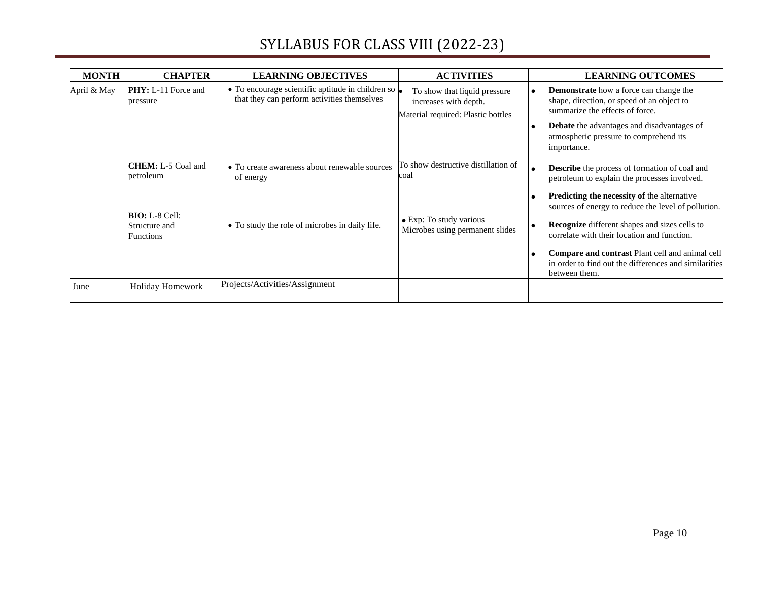| <b>MONTH</b> | <b>CHAPTER</b>                                        | <b>LEARNING OBJECTIVES</b>                                                                       | <b>ACTIVITIES</b>                                                                           | <b>LEARNING OUTCOMES</b>                                                                                                       |
|--------------|-------------------------------------------------------|--------------------------------------------------------------------------------------------------|---------------------------------------------------------------------------------------------|--------------------------------------------------------------------------------------------------------------------------------|
| April & May  | <b>PHY:</b> L-11 Force and<br>pressure                | • To encourage scientific aptitude in children so<br>that they can perform activities themselves | To show that liquid pressure<br>increases with depth.<br>Material required: Plastic bottles | <b>Demonstrate</b> how a force can change the<br>shape, direction, or speed of an object to<br>summarize the effects of force. |
|              |                                                       |                                                                                                  |                                                                                             | <b>Debate</b> the advantages and disadvantages of<br>atmospheric pressure to comprehend its<br>importance.                     |
|              | <b>CHEM</b> : L-5 Coal and<br>petroleum               | • To create awareness about renewable sources<br>of energy                                       | To show destructive distillation of<br>coal                                                 | <b>Describe</b> the process of formation of coal and<br>petroleum to explain the processes involved.                           |
|              |                                                       |                                                                                                  |                                                                                             | Predicting the necessity of the alternative<br>sources of energy to reduce the level of pollution.                             |
|              | $BIO: L-8 Cell:$<br>Structure and<br><b>Functions</b> | • To study the role of microbes in daily life.                                                   | • Exp: To study various<br>Microbes using permanent slides                                  | <b>Recognize</b> different shapes and sizes cells to<br>correlate with their location and function.                            |
|              |                                                       |                                                                                                  |                                                                                             | Compare and contrast Plant cell and animal cell<br>in order to find out the differences and similarities<br>between them.      |
| June         | Holiday Homework                                      | Projects/Activities/Assignment                                                                   |                                                                                             |                                                                                                                                |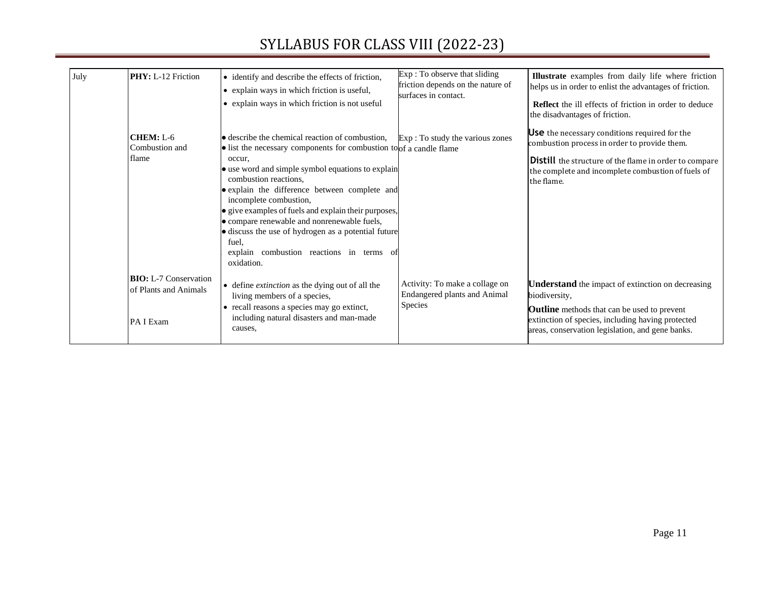| July | <b>PHY:</b> L-12 Friction                                          | • identify and describe the effects of friction,<br>• explain ways in which friction is useful,<br>• explain ways in which friction is not useful                                                                                                                                                                                                                                                                                                                                                                          | Exp: To observe that sliding<br>friction depends on the nature of<br>surfaces in contact. | Illustrate examples from daily life where friction<br>helps us in order to enlist the advantages of friction.<br><b>Reflect</b> the ill effects of friction in order to deduce<br>the disadvantages of friction.                          |
|------|--------------------------------------------------------------------|----------------------------------------------------------------------------------------------------------------------------------------------------------------------------------------------------------------------------------------------------------------------------------------------------------------------------------------------------------------------------------------------------------------------------------------------------------------------------------------------------------------------------|-------------------------------------------------------------------------------------------|-------------------------------------------------------------------------------------------------------------------------------------------------------------------------------------------------------------------------------------------|
|      | CHEM: L-6<br>Combustion and<br>flame                               | • describe the chemical reaction of combustion,<br>• list the necessary components for combustion to of a candle flame<br>occur.<br>• use word and simple symbol equations to explain<br>combustion reactions,<br>• explain the difference between complete and<br>incomplete combustion,<br>• give examples of fuels and explain their purposes,<br>• compare renewable and nonrenewable fuels,<br>• discuss the use of hydrogen as a potential future<br>fuel,<br>explain combustion reactions in terms of<br>oxidation. | Exp : To study the various zones                                                          | <b>Use</b> the necessary conditions required for the<br>combustion process in order to provide them.<br><b>Distill</b> the structure of the flame in order to compare<br>the complete and incomplete combustion of fuels of<br>the flame. |
|      | <b>BIO:</b> L-7 Conservation<br>of Plants and Animals<br>PA I Exam | • define <i>extinction</i> as the dying out of all the<br>living members of a species,<br>• recall reasons a species may go extinct,<br>including natural disasters and man-made<br>causes,                                                                                                                                                                                                                                                                                                                                | Activity: To make a collage on<br><b>Endangered plants and Animal</b><br><b>Species</b>   | <b>Understand</b> the impact of extinction on decreasing<br>biodiversity,<br><b>Outline</b> methods that can be used to prevent<br>extinction of species, including having protected<br>areas, conservation legislation, and gene banks.  |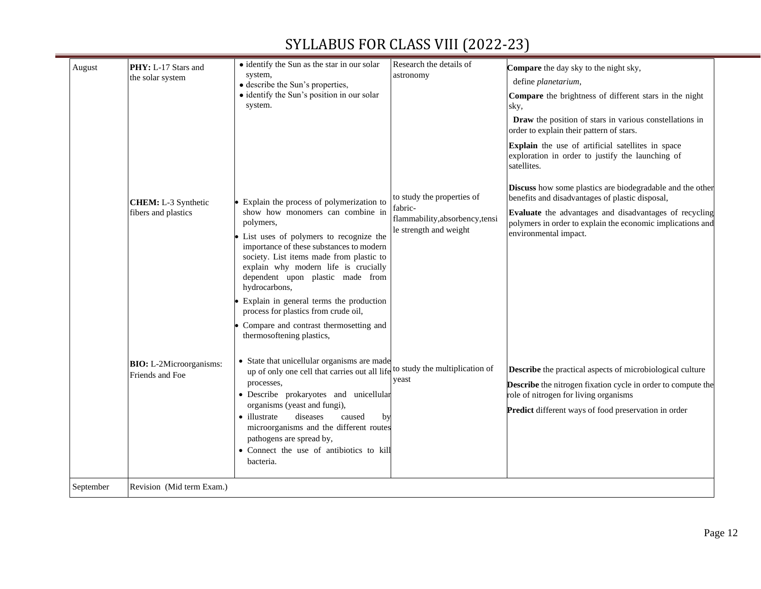| August    | PHY: L-17 Stars and                               | • identify the Sun as the star in our solar                                                                                                                                                                                                                                                             | Research the details of                                              | Compare the day sky to the night sky,                                                                                                                                                                                                    |
|-----------|---------------------------------------------------|---------------------------------------------------------------------------------------------------------------------------------------------------------------------------------------------------------------------------------------------------------------------------------------------------------|----------------------------------------------------------------------|------------------------------------------------------------------------------------------------------------------------------------------------------------------------------------------------------------------------------------------|
|           | the solar system                                  | system,<br>• describe the Sun's properties,                                                                                                                                                                                                                                                             | astronomy                                                            | define planetarium,                                                                                                                                                                                                                      |
|           |                                                   | • identify the Sun's position in our solar<br>system.                                                                                                                                                                                                                                                   |                                                                      | Compare the brightness of different stars in the night<br>sky,                                                                                                                                                                           |
|           |                                                   |                                                                                                                                                                                                                                                                                                         |                                                                      | Draw the position of stars in various constellations in<br>order to explain their pattern of stars.                                                                                                                                      |
|           |                                                   |                                                                                                                                                                                                                                                                                                         |                                                                      | Explain the use of artificial satellites in space<br>exploration in order to justify the launching of<br>satellites.                                                                                                                     |
|           | <b>CHEM:</b> L-3 Synthetic                        | Explain the process of polymerization to                                                                                                                                                                                                                                                                | to study the properties of                                           | <b>Discuss</b> how some plastics are biodegradable and the other<br>benefits and disadvantages of plastic disposal,                                                                                                                      |
|           | fibers and plastics                               | show how monomers can combine in<br>polymers,<br>• List uses of polymers to recognize the<br>importance of these substances to modern<br>society. List items made from plastic to                                                                                                                       | fabric-<br>flammability, absorbency, tensi<br>le strength and weight | Evaluate the advantages and disadvantages of recycling<br>polymers in order to explain the economic implications and<br>environmental impact.                                                                                            |
|           |                                                   | explain why modern life is crucially<br>dependent upon plastic made from<br>hydrocarbons,<br>Explain in general terms the production                                                                                                                                                                    |                                                                      |                                                                                                                                                                                                                                          |
|           |                                                   | process for plastics from crude oil,<br>Compare and contrast thermosetting and<br>thermosoftening plastics,                                                                                                                                                                                             |                                                                      |                                                                                                                                                                                                                                          |
|           | <b>BIO:</b> L-2Microorganisms:<br>Friends and Foe | • State that unicellular organisms are made<br>up of only one cell that carries out all life<br>processes,<br>· Describe prokaryotes and unicellular<br>organisms (yeast and fungi),<br>• illustrate<br>diseases<br>caused<br>by<br>microorganisms and the different routes<br>pathogens are spread by, | to study the multiplication of<br>yeast                              | <b>Describe</b> the practical aspects of microbiological culture<br><b>Describe</b> the nitrogen fixation cycle in order to compute the<br>role of nitrogen for living organisms<br>Predict different ways of food preservation in order |
| September | Revision (Mid term Exam.)                         | • Connect the use of antibiotics to kill<br>bacteria.                                                                                                                                                                                                                                                   |                                                                      |                                                                                                                                                                                                                                          |
|           |                                                   |                                                                                                                                                                                                                                                                                                         |                                                                      |                                                                                                                                                                                                                                          |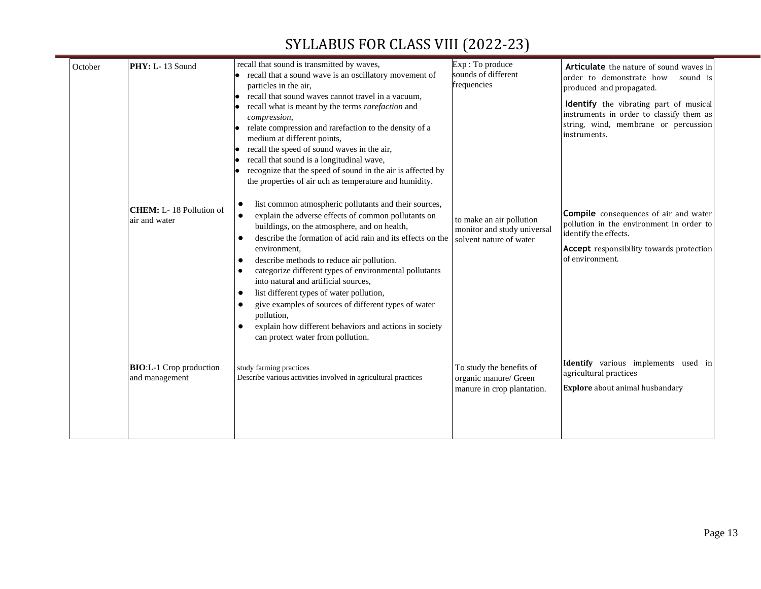| PHY: L-13 Sound<br>October                        |                                                                                                                                                                                                                                                                                                                                                                                                                                                                                                                                                                                                                                                                                                                                                                                                                                                                                                                                                                                                                                                                  |                                                                                    |                                                                                                                                                                                                                                                                                                                                       |
|---------------------------------------------------|------------------------------------------------------------------------------------------------------------------------------------------------------------------------------------------------------------------------------------------------------------------------------------------------------------------------------------------------------------------------------------------------------------------------------------------------------------------------------------------------------------------------------------------------------------------------------------------------------------------------------------------------------------------------------------------------------------------------------------------------------------------------------------------------------------------------------------------------------------------------------------------------------------------------------------------------------------------------------------------------------------------------------------------------------------------|------------------------------------------------------------------------------------|---------------------------------------------------------------------------------------------------------------------------------------------------------------------------------------------------------------------------------------------------------------------------------------------------------------------------------------|
|                                                   | recall that sound is transmitted by waves,<br>recall that a sound wave is an oscillatory movement of<br>particles in the air,                                                                                                                                                                                                                                                                                                                                                                                                                                                                                                                                                                                                                                                                                                                                                                                                                                                                                                                                    | Exp: To produce<br>sounds of different<br>frequencies                              | Articulate the nature of sound waves in<br>order to demonstrate how<br>sound is<br>produced and propagated.                                                                                                                                                                                                                           |
| <b>CHEM:</b> L-18 Pollution of<br>air and water   | recall that sound waves cannot travel in a vacuum,<br>recall what is meant by the terms rarefaction and<br>compression,<br>relate compression and rarefaction to the density of a<br>medium at different points,<br>recall the speed of sound waves in the air,<br>recall that sound is a longitudinal wave,<br>recognize that the speed of sound in the air is affected by<br>the properties of air uch as temperature and humidity.<br>list common atmospheric pollutants and their sources,<br>explain the adverse effects of common pollutants on<br>buildings, on the atmosphere, and on health,<br>describe the formation of acid rain and its effects on the<br>environment,<br>describe methods to reduce air pollution.<br>categorize different types of environmental pollutants<br>into natural and artificial sources,<br>list different types of water pollution,<br>$\bullet$<br>give examples of sources of different types of water<br>pollution,<br>explain how different behaviors and actions in society<br>can protect water from pollution. | to make an air pollution<br>monitor and study universal<br>solvent nature of water | Identify the vibrating part of musical<br>instruments in order to classify them as<br>string, wind, membrane or percussion<br>instruments.<br><b>Compile</b> consequences of air and water<br>pollution in the environment in order to<br>identify the effects.<br><b>Accept</b> responsibility towards protection<br>of environment. |
| <b>BIO:</b> L-1 Crop production<br>and management | study farming practices<br>Describe various activities involved in agricultural practices                                                                                                                                                                                                                                                                                                                                                                                                                                                                                                                                                                                                                                                                                                                                                                                                                                                                                                                                                                        | To study the benefits of<br>organic manure/ Green<br>manure in crop plantation.    | Identify various implements used in<br>agricultural practices<br>Explore about animal husbandary                                                                                                                                                                                                                                      |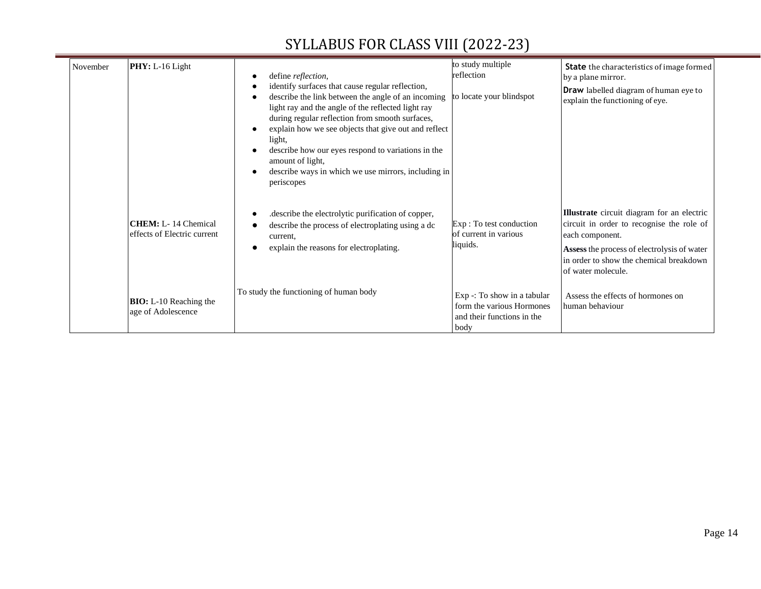═

| November | PHY: L-16 Light                                            | define reflection,<br>identify surfaces that cause regular reflection,<br>describe the link between the angle of an incoming<br>light ray and the angle of the reflected light ray<br>during regular reflection from smooth surfaces,<br>explain how we see objects that give out and reflect<br>light,<br>describe how our eyes respond to variations in the<br>amount of light,<br>describe ways in which we use mirrors, including in<br>periscopes | to study multiple<br>reflection<br>to locate your blindspot                                      | <b>State</b> the characteristics of image formed<br>by a plane mirror.<br>Draw labelled diagram of human eye to<br>explain the functioning of eye.                                                                         |
|----------|------------------------------------------------------------|--------------------------------------------------------------------------------------------------------------------------------------------------------------------------------------------------------------------------------------------------------------------------------------------------------------------------------------------------------------------------------------------------------------------------------------------------------|--------------------------------------------------------------------------------------------------|----------------------------------------------------------------------------------------------------------------------------------------------------------------------------------------------------------------------------|
|          | <b>CHEM</b> : L-14 Chemical<br>effects of Electric current | describe the electrolytic purification of copper,<br>describe the process of electroplating using a dc<br>current.<br>explain the reasons for electroplating.                                                                                                                                                                                                                                                                                          | Exp: To test conduction<br>of current in various<br>liquids.                                     | Illustrate circuit diagram for an electric<br>circuit in order to recognise the role of<br>each component.<br>Assess the process of electrolysis of water<br>in order to show the chemical breakdown<br>of water molecule. |
|          | <b>BIO:</b> L-10 Reaching the<br>age of Adolescence        | To study the functioning of human body                                                                                                                                                                                                                                                                                                                                                                                                                 | $Exp -: To show in a tabular$<br>form the various Hormones<br>and their functions in the<br>body | Assess the effects of hormones on<br>human behaviour                                                                                                                                                                       |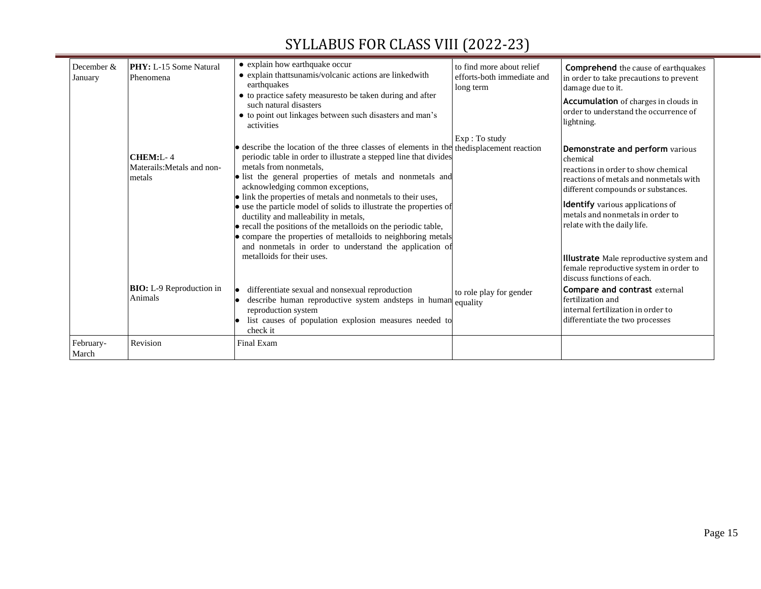═

| December &<br>January | <b>PHY:</b> L-15 Some Natural<br>Phenomena       | • explain how earthquake occur<br>• explain thattsunamis/volcanic actions are linkedwith<br>earthquakes                                                                                                                                                                                                                                                                                                                                                                                                                                                                                                                                                                | to find more about relief<br>efforts-both immediate and<br>long term | <b>Comprehend</b> the cause of earthquakes<br>in order to take precautions to prevent<br>damage due to it.                                                                                                                                                                       |
|-----------------------|--------------------------------------------------|------------------------------------------------------------------------------------------------------------------------------------------------------------------------------------------------------------------------------------------------------------------------------------------------------------------------------------------------------------------------------------------------------------------------------------------------------------------------------------------------------------------------------------------------------------------------------------------------------------------------------------------------------------------------|----------------------------------------------------------------------|----------------------------------------------------------------------------------------------------------------------------------------------------------------------------------------------------------------------------------------------------------------------------------|
|                       |                                                  | • to practice safety measuresto be taken during and after<br>such natural disasters<br>• to point out linkages between such disasters and man's<br>activities                                                                                                                                                                                                                                                                                                                                                                                                                                                                                                          |                                                                      | <b>Accumulation</b> of charges in clouds in<br>order to understand the occurrence of<br>lightning.                                                                                                                                                                               |
|                       | CHEM:L-4<br>Materails: Metals and non-<br>metals | · describe the location of the three classes of elements in the the displacement reaction<br>periodic table in order to illustrate a stepped line that divides<br>metals from nonmetals,<br>· list the general properties of metals and nonmetals and<br>acknowledging common exceptions,<br>• link the properties of metals and nonmetals to their uses,<br>• use the particle model of solids to illustrate the properties of<br>ductility and malleability in metals,<br>• recall the positions of the metalloids on the periodic table,<br>• compare the properties of metalloids to neighboring metals<br>and nonmetals in order to understand the application of | Exp: To study                                                        | Demonstrate and perform various<br>chemical<br>reactions in order to show chemical<br>reactions of metals and nonmetals with<br>different compounds or substances.<br><b>Identify</b> various applications of<br>metals and nonmetals in order to<br>relate with the daily life. |
|                       | <b>BIO:</b> L-9 Reproduction in<br>Animals       | metalloids for their uses.<br>differentiate sexual and nonsexual reproduction<br>describe human reproductive system and<br>steps in human equality<br>reproduction system<br>list causes of population explosion measures needed to<br>check it                                                                                                                                                                                                                                                                                                                                                                                                                        | to role play for gender                                              | Illustrate Male reproductive system and<br>female reproductive system in order to<br>discuss functions of each.<br>Compare and contrast external<br>fertilization and<br>linternal fertilization in order to<br>differentiate the two processes                                  |
| February-<br>March    | Revision                                         | Final Exam                                                                                                                                                                                                                                                                                                                                                                                                                                                                                                                                                                                                                                                             |                                                                      |                                                                                                                                                                                                                                                                                  |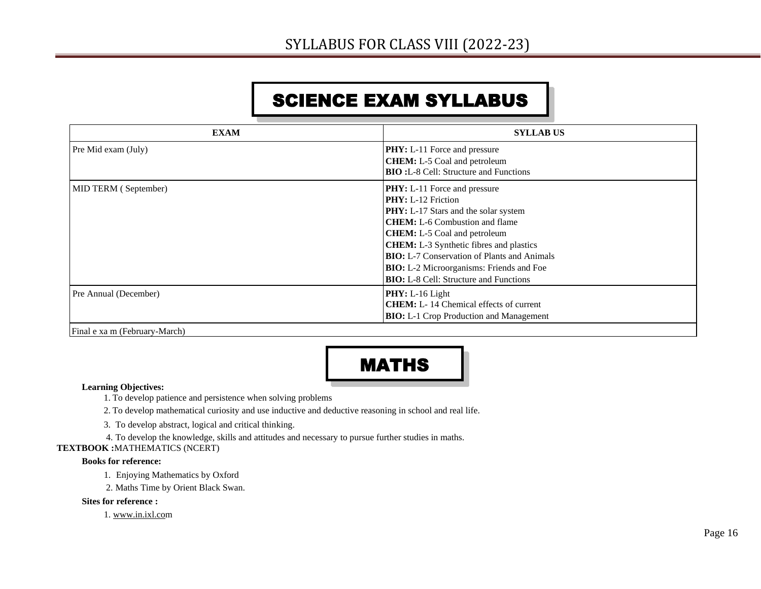# SCIENCE EXAM SYLLABUS

| <b>EXAM</b>           | <b>SYLLAB US</b>                                   |
|-----------------------|----------------------------------------------------|
| Pre Mid exam (July)   | <b>PHY:</b> L-11 Force and pressure                |
|                       | <b>CHEM:</b> L-5 Coal and petroleum                |
|                       | <b>BIO:</b> L-8 Cell: Structure and Functions      |
| MID TERM (September)  | <b>PHY:</b> L-11 Force and pressure                |
|                       | <b>PHY:</b> L-12 Friction                          |
|                       | <b>PHY:</b> L-17 Stars and the solar system        |
|                       | <b>CHEM:</b> L-6 Combustion and flame              |
|                       | <b>CHEM:</b> L-5 Coal and petroleum                |
|                       | <b>CHEM:</b> L-3 Synthetic fibres and plastics     |
|                       | <b>BIO:</b> L-7 Conservation of Plants and Animals |
|                       | <b>BIO:</b> L-2 Microorganisms: Friends and Foe    |
|                       | <b>BIO:</b> L-8 Cell: Structure and Functions      |
| Pre Annual (December) | $PHY: L-16$ Light                                  |
|                       | <b>CHEM</b> : L-14 Chemical effects of current     |
|                       | <b>BIO:</b> L-1 Crop Production and Management     |

Final e xa m (February-March)



#### **Learning Objectives:**

1. To develop patience and persistence when solving problems

2. To develop mathematical curiosity and use inductive and deductive reasoning in school and real life.

3. To develop abstract, logical and critical thinking.

4. To develop the knowledge, skills and attitudes and necessary to pursue further studies in maths.

**TEXTBOOK :**MATHEMATICS (NCERT)

#### **Books for reference:**

1. Enjoying Mathematics by Oxford

2. Maths Time by Orient Black Swan.

**Sites for reference :**

1. [www.in.ixl.com](http://www.in.ixl.com/)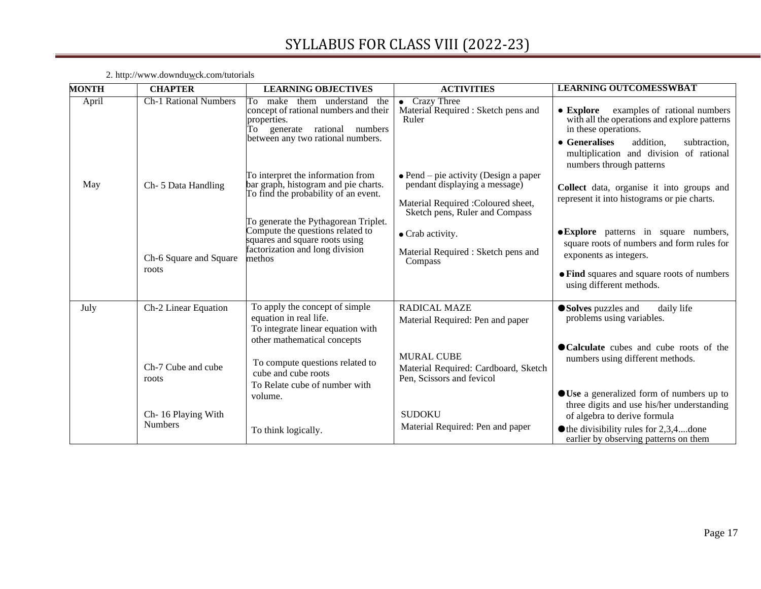| <b>MONTH</b> | <b>CHAPTER</b>                       | <b>LEARNING OBJECTIVES</b>                                                                                                                                     | <b>ACTIVITIES</b>                                                                                                                                       | <b>LEARNING OUTCOMESSWBAT</b>                                                                                                                                                                                                                  |
|--------------|--------------------------------------|----------------------------------------------------------------------------------------------------------------------------------------------------------------|---------------------------------------------------------------------------------------------------------------------------------------------------------|------------------------------------------------------------------------------------------------------------------------------------------------------------------------------------------------------------------------------------------------|
| April        | <b>Ch-1 Rational Numbers</b>         | them understand<br>To make<br>the<br>concept of rational numbers and their<br>properties.<br>To generate rational numbers<br>between any two rational numbers. | • Crazy Three<br>Material Required : Sketch pens and<br>Ruler                                                                                           | examples of rational numbers<br>$\bullet$ Explore<br>with all the operations and explore patterns<br>in these operations.<br>• Generalises<br>addition,<br>subtraction,<br>multiplication and division of rational<br>numbers through patterns |
| May          | Ch-5 Data Handling                   | To interpret the information from<br>bar graph, histogram and pie charts.<br>To find the probability of an event.<br>To generate the Pythagorean Triplet.      | $\bullet$ Pend – pie activity (Design a paper<br>pendant displaying a message)<br>Material Required : Coloured sheet,<br>Sketch pens, Ruler and Compass | Collect data, organise it into groups and<br>represent it into histograms or pie charts.                                                                                                                                                       |
|              | Ch-6 Square and Square<br>roots      | Compute the questions related to<br>squares and square roots using<br>factorization and long division<br>methos                                                | • Crab activity.<br>Material Required : Sketch pens and<br>Compass                                                                                      | <b>• Explore</b> patterns in square numbers,<br>square roots of numbers and form rules for<br>exponents as integers.<br>• Find squares and square roots of numbers<br>using different methods.                                                 |
|              |                                      |                                                                                                                                                                |                                                                                                                                                         |                                                                                                                                                                                                                                                |
| July         | Ch-2 Linear Equation                 | To apply the concept of simple<br>equation in real life.<br>To integrate linear equation with<br>other mathematical concepts                                   | <b>RADICAL MAZE</b><br>Material Required: Pen and paper                                                                                                 | ● Solves puzzles and<br>daily life<br>problems using variables.                                                                                                                                                                                |
|              | Ch-7 Cube and cube<br>roots          | To compute questions related to<br>cube and cube roots<br>To Relate cube of number with                                                                        | <b>MURAL CUBE</b><br>Material Required: Cardboard, Sketch<br>Pen, Scissors and fevicol                                                                  | • Calculate cubes and cube roots of the<br>numbers using different methods.                                                                                                                                                                    |
|              | Ch-16 Playing With<br><b>Numbers</b> | volume.<br>To think logically.                                                                                                                                 | <b>SUDOKU</b><br>Material Required: Pen and paper                                                                                                       | ● Use a generalized form of numbers up to<br>three digits and use his/her understanding<br>of algebra to derive formula<br>$\bullet$ the divisibility rules for 2,3,4, done<br>earlier by observing patterns on them                           |

2. http://www.downd[uwc](http://www.in.ixl.com/)k.com/tutorials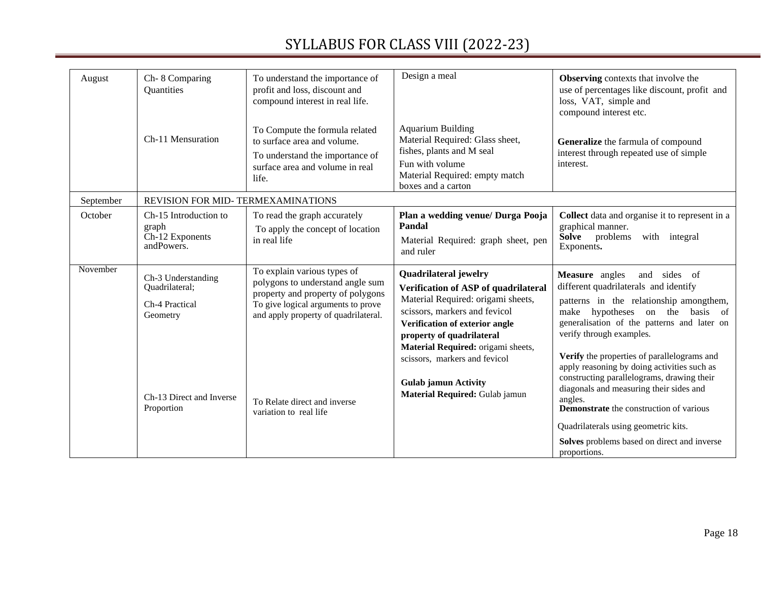| August    | Ch-8 Comparing<br>Quantities                                                                                 | To understand the importance of<br>profit and loss, discount and<br>compound interest in real life.                                                                                                                                          | Design a meal                                                                                                                                                                                                                                                                                                                                      | <b>Observing</b> contexts that involve the<br>use of percentages like discount, profit and<br>loss, VAT, simple and<br>compound interest etc.                                                                                                                                                                                                                                                                                                                                                                                                                                               |
|-----------|--------------------------------------------------------------------------------------------------------------|----------------------------------------------------------------------------------------------------------------------------------------------------------------------------------------------------------------------------------------------|----------------------------------------------------------------------------------------------------------------------------------------------------------------------------------------------------------------------------------------------------------------------------------------------------------------------------------------------------|---------------------------------------------------------------------------------------------------------------------------------------------------------------------------------------------------------------------------------------------------------------------------------------------------------------------------------------------------------------------------------------------------------------------------------------------------------------------------------------------------------------------------------------------------------------------------------------------|
|           | Ch-11 Mensuration                                                                                            | To Compute the formula related<br>to surface area and volume.<br>To understand the importance of<br>surface area and volume in real<br>life.                                                                                                 | <b>Aquarium Building</b><br>Material Required: Glass sheet,<br>fishes, plants and M seal<br>Fun with volume<br>Material Required: empty match<br>boxes and a carton                                                                                                                                                                                | Generalize the farmula of compound<br>interest through repeated use of simple<br>interest.                                                                                                                                                                                                                                                                                                                                                                                                                                                                                                  |
| September | REVISION FOR MID-TERMEXAMINATIONS                                                                            |                                                                                                                                                                                                                                              |                                                                                                                                                                                                                                                                                                                                                    |                                                                                                                                                                                                                                                                                                                                                                                                                                                                                                                                                                                             |
| October   | Ch-15 Introduction to<br>graph<br>Ch-12 Exponents<br>andPowers.                                              | To read the graph accurately<br>To apply the concept of location<br>in real life                                                                                                                                                             | Plan a wedding venue/ Durga Pooja<br>Pandal<br>Material Required: graph sheet, pen<br>and ruler                                                                                                                                                                                                                                                    | Collect data and organise it to represent in a<br>graphical manner.<br>Solve problems<br>with integral<br>Exponents.                                                                                                                                                                                                                                                                                                                                                                                                                                                                        |
| November  | Ch-3 Understanding<br>Quadrilateral;<br>Ch-4 Practical<br>Geometry<br>Ch-13 Direct and Inverse<br>Proportion | To explain various types of<br>polygons to understand angle sum<br>property and property of polygons<br>To give logical arguments to prove<br>and apply property of quadrilateral.<br>To Relate direct and inverse<br>variation to real life | <b>Quadrilateral jewelry</b><br>Verification of ASP of quadrilateral<br>Material Required: origami sheets,<br>scissors, markers and fevicol<br>Verification of exterior angle<br>property of quadrilateral<br>Material Required: origami sheets,<br>scissors, markers and fevicol<br><b>Gulab jamun Activity</b><br>Material Required: Gulab jamun | Measure angles<br>and sides of<br>different quadrilaterals and identify<br>patterns in the relationship amongthem,<br>make hypotheses on the basis of<br>generalisation of the patterns and later on<br>verify through examples.<br>Verify the properties of parallelograms and<br>apply reasoning by doing activities such as<br>constructing parallelograms, drawing their<br>diagonals and measuring their sides and<br>angles.<br><b>Demonstrate</b> the construction of various<br>Quadrilaterals using geometric kits.<br>Solves problems based on direct and inverse<br>proportions. |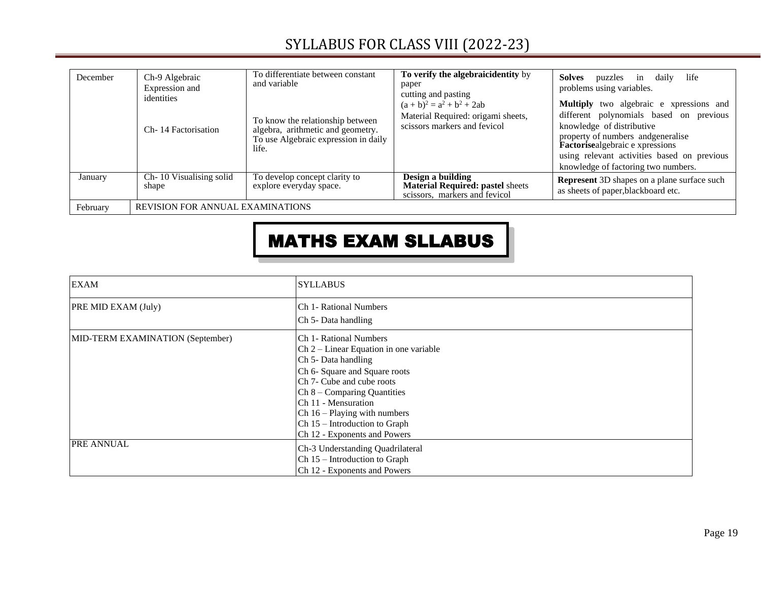| December | Ch-9 Algebraic<br>Expression and<br>identities<br>Ch-14 Factorisation | To differentiate between constant<br>and variable<br>To know the relationship between<br>algebra, arithmetic and geometry.<br>To use Algebraic expression in daily<br>life. | To verify the algebraic identity by<br>paper<br>cutting and pasting<br>$(a + b)^2 = a^2 + b^2 + 2ab$<br>Material Required: origami sheets,<br>scissors markers and fevicol | Solves<br>life<br>puzzles in daily<br>problems using variables.<br>Multiply two algebraic e xpressions and<br>different polynomials based on previous<br>knowledge of distributive<br>property of numbers and generalise<br>Factorisealgebraic e xpressions<br>using relevant activities based on previous<br>knowledge of factoring two numbers. |
|----------|-----------------------------------------------------------------------|-----------------------------------------------------------------------------------------------------------------------------------------------------------------------------|----------------------------------------------------------------------------------------------------------------------------------------------------------------------------|---------------------------------------------------------------------------------------------------------------------------------------------------------------------------------------------------------------------------------------------------------------------------------------------------------------------------------------------------|
| January  | Ch-10 Visualising solid<br>shape                                      | To develop concept clarity to<br>explore everyday space.                                                                                                                    | Design a building<br><b>Material Required: pastel sheets</b><br>scissors, markers and fevicol                                                                              | <b>Represent</b> 3D shapes on a plane surface such<br>as sheets of paper, blackboard etc.                                                                                                                                                                                                                                                         |
| February | <b>REVISION FOR ANNUAL EXAMINATIONS</b>                               |                                                                                                                                                                             |                                                                                                                                                                            |                                                                                                                                                                                                                                                                                                                                                   |

# MATHS EXAM SLLABUS

| <b>EXAM</b>                      | <b>SYLLABUS</b>                          |
|----------------------------------|------------------------------------------|
| PRE MID EXAM (July)              | Ch 1- Rational Numbers                   |
|                                  | Ch 5- Data handling                      |
| MID-TERM EXAMINATION (September) | Ch 1- Rational Numbers                   |
|                                  | $Ch 2 - Linear Equation$ in one variable |
|                                  | Ch 5- Data handling                      |
|                                  | Ch 6- Square and Square roots            |
|                                  | Ch <sub>7</sub> - Cube and cube roots    |
|                                  | $Ch 8 - Comparing Quantities$            |
|                                  | Ch 11 - Mensuration                      |
|                                  | $Ch 16 - Playing with numbers$           |
|                                  | $Ch 15$ – Introduction to Graph          |
|                                  | Ch 12 - Exponents and Powers             |
| <b>PRE ANNUAL</b>                | Ch-3 Understanding Quadrilateral         |
|                                  | $Ch 15$ – Introduction to Graph          |
|                                  | Ch 12 - Exponents and Powers             |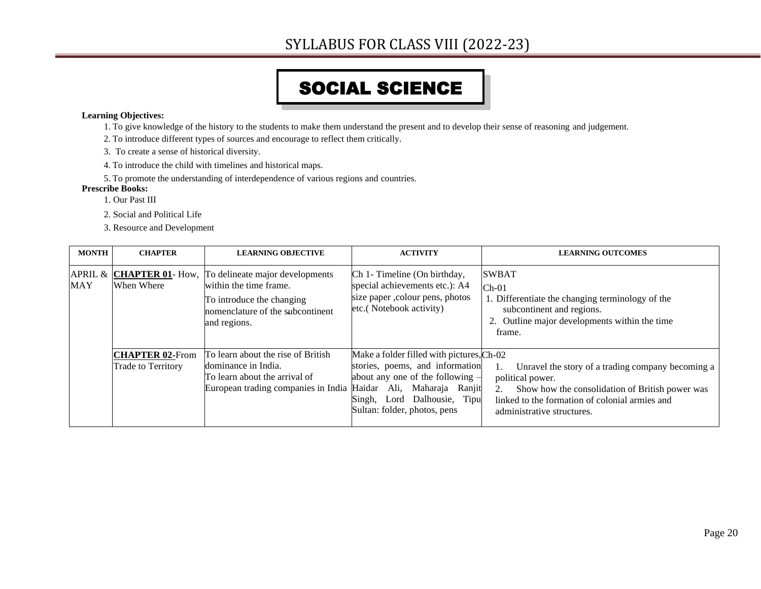# SOCIAL SCIENCE

#### **Learning Objectives:**

- 1. To give knowledge of the history to the students to make them understand the present and to develop their sense of reasoning and judgement.
- 2. To introduce different types of sources and encourage to reflect them critically.
- 3. To create a sense of historical diversity.
- 4. To introduce the child with timelines and historical maps.
- 5. To promote the understanding of interdependence of various regions and countries.

#### **Prescribe Books:**

- 1. Our Past III
- 2. Social and Political Life
- 3. Resource and Development

| <b>MONTH</b> | <b>CHAPTER</b>                                      | <b>LEARNING OBJECTIVE</b>                                                                                                                  | <b>ACTIVITY</b>                                                                                                                                                                                                     | <b>LEARNING OUTCOMES</b>                                                                                                                                                                                             |
|--------------|-----------------------------------------------------|--------------------------------------------------------------------------------------------------------------------------------------------|---------------------------------------------------------------------------------------------------------------------------------------------------------------------------------------------------------------------|----------------------------------------------------------------------------------------------------------------------------------------------------------------------------------------------------------------------|
| <b>MAY</b>   | APRIL & CHAPTER 01- How,<br>When Where              | To delineate major developments<br>within the time frame.<br>To introduce the changing<br>nomenclature of the subcontinent<br>and regions. | Ch 1- Timeline (On birthday,<br>special achievements etc.): A4<br>size paper , colour pens, photos<br>etc.(Notebook activity)                                                                                       | <b>SWBAT</b><br>$Ch-01$<br>1. Differentiate the changing terminology of the<br>subcontinent and regions.<br>2. Outline major developments within the time<br>frame.                                                  |
|              | <b>CHAPTER 02-From</b><br><b>Trade to Territory</b> | To learn about the rise of British<br>dominance in India.<br>To learn about the arrival of<br>European trading companies in India          | Make a folder filled with pictures, Ch-02<br>stories, poems, and information<br>about any one of the following $-$<br>Ali, Maharaja Ranjit<br>Haidar<br>Singh, Lord Dalhousie, Tipu<br>Sultan: folder, photos, pens | Unravel the story of a trading company becoming a<br>1.<br>political power.<br>2.<br>Show how the consolidation of British power was<br>linked to the formation of colonial armies and<br>administrative structures. |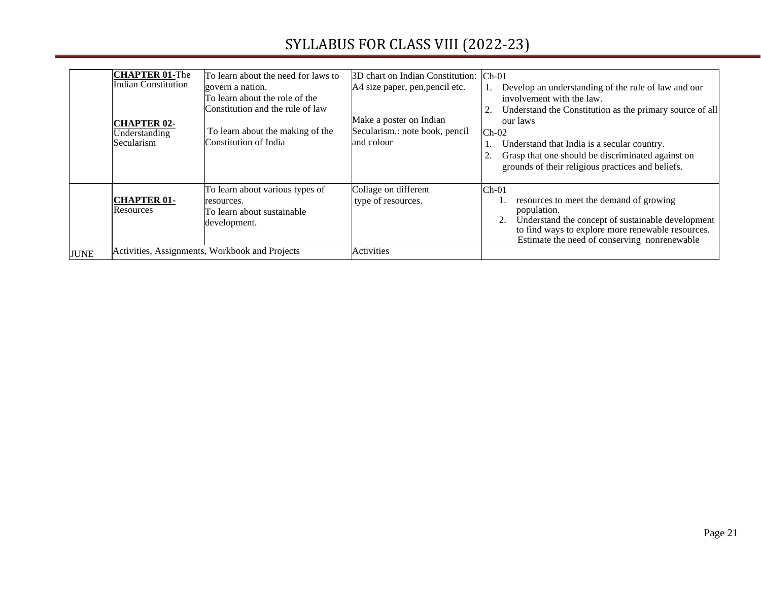|             | <b>CHAPTER 01-The</b><br><b>Indian Constitution</b><br><b>CHAPTER 02-</b><br>Understanding<br>Secularism | To learn about the need for laws to<br>govern a nation.<br>To learn about the role of the<br>Constitution and the rule of law<br>To learn about the making of the<br>Constitution of India | 3D chart on Indian Constitution:<br>A4 size paper, pen, pencil etc.<br>Make a poster on Indian<br>Secularism.: note book, pencil<br>and colour | $Ch-01$<br>Develop an understanding of the rule of law and our<br>involvement with the law.<br>Understand the Constitution as the primary source of all<br>our laws<br>$Ch-02$<br>Understand that India is a secular country.<br>Grasp that one should be discriminated against on<br>grounds of their religious practices and beliefs. |
|-------------|----------------------------------------------------------------------------------------------------------|--------------------------------------------------------------------------------------------------------------------------------------------------------------------------------------------|------------------------------------------------------------------------------------------------------------------------------------------------|-----------------------------------------------------------------------------------------------------------------------------------------------------------------------------------------------------------------------------------------------------------------------------------------------------------------------------------------|
|             | <b>CHAPTER 01-</b><br>Resources                                                                          | To learn about various types of<br>resources.<br>To learn about sustainable<br>development.                                                                                                | Collage on different<br>type of resources.                                                                                                     | $Ch-01$<br>resources to meet the demand of growing<br>population.<br>Understand the concept of sustainable development<br>to find ways to explore more renewable resources.<br>Estimate the need of conserving nonrenewable                                                                                                             |
| <b>JUNE</b> |                                                                                                          | Activities, Assignments, Workbook and Projects                                                                                                                                             | <b>Activities</b>                                                                                                                              |                                                                                                                                                                                                                                                                                                                                         |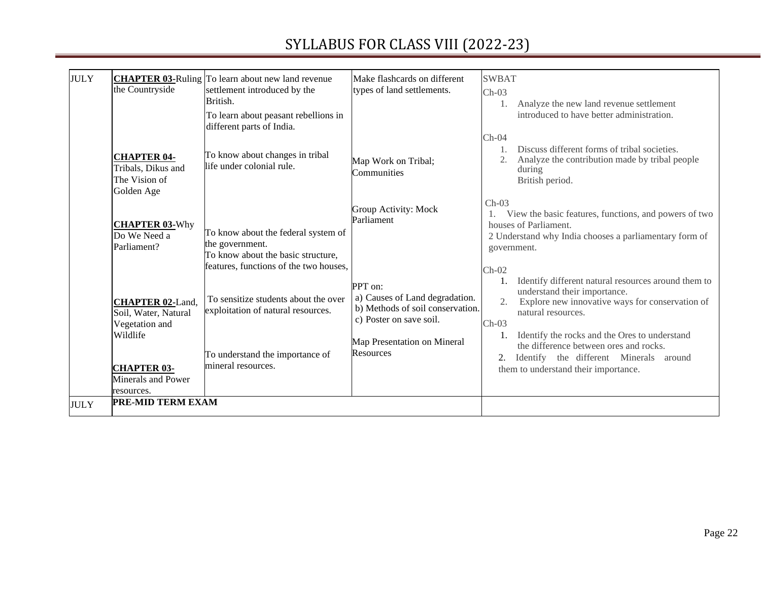| <b>JULY</b> | the Countryside                                                               | <b>CHAPTER 03-Ruling</b> To learn about new land revenue<br>settlement introduced by the<br>British.<br>To learn about peasant rebellions in<br>different parts of India. | Make flashcards on different<br>types of land settlements.                                                                                           | <b>SWBAT</b><br>$Ch-03$<br>Analyze the new land revenue settlement<br>introduced to have better administration.                                                                                                                                                    |
|-------------|-------------------------------------------------------------------------------|---------------------------------------------------------------------------------------------------------------------------------------------------------------------------|------------------------------------------------------------------------------------------------------------------------------------------------------|--------------------------------------------------------------------------------------------------------------------------------------------------------------------------------------------------------------------------------------------------------------------|
|             | <b>CHAPTER 04-</b><br>Tribals, Dikus and<br>The Vision of<br>Golden Age       | To know about changes in tribal<br>life under colonial rule.                                                                                                              | Map Work on Tribal;<br>Communities                                                                                                                   | $Ch-04$<br>Discuss different forms of tribal societies.<br>Analyze the contribution made by tribal people<br>during<br>British period.                                                                                                                             |
|             | <b>CHAPTER 03-Why</b><br>Do We Need a<br>Parliament?                          | To know about the federal system of<br>the government.<br>To know about the basic structure,<br>features, functions of the two houses,                                    | <b>Group Activity: Mock</b><br>Parliament                                                                                                            | $Ch-03$<br>View the basic features, functions, and powers of two<br>1.<br>houses of Parliament.<br>2 Understand why India chooses a parliamentary form of<br>government.<br>$Ch-02$                                                                                |
|             | <b>CHAPTER 02-Land,</b><br>Soil, Water, Natural<br>Vegetation and<br>Wildlife | To sensitize students about the over<br>exploitation of natural resources.<br>To understand the importance of                                                             | PPT on:<br>a) Causes of Land degradation.<br>b) Methods of soil conservation.<br>c) Poster on save soil.<br>Map Presentation on Mineral<br>Resources | Identify different natural resources around them to<br>understand their importance.<br>Explore new innovative ways for conservation of<br>natural resources.<br>$Ch-03$<br>Identify the rocks and the Ores to understand<br>the difference between ores and rocks. |
|             | <b>CHAPTER 03-</b><br>Minerals and Power<br>resources.                        | mineral resources.                                                                                                                                                        |                                                                                                                                                      | Identify the different Minerals around<br>2.<br>them to understand their importance.                                                                                                                                                                               |
| <b>JULY</b> | <b>PRE-MID TERM EXAM</b>                                                      |                                                                                                                                                                           |                                                                                                                                                      |                                                                                                                                                                                                                                                                    |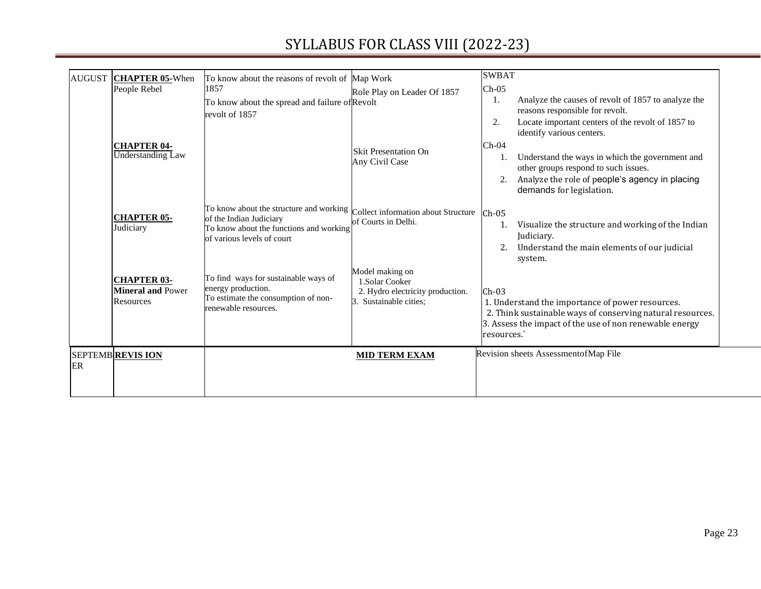| <b>AUGUST</b> | <b>CHAPTER 05-When</b><br>People Rebel                      | To know about the reasons of revolt of Map Work<br>1857<br>To know about the spread and failure of Revolt<br>revolt of 1857                 | Role Play on Leader Of 1857                                                                  | <b>SWBAT</b><br>$Ch-05$<br>Analyze the causes of revolt of 1857 to analyze the<br>1.<br>reasons responsible for revolt.                                                                                                                                                              |
|---------------|-------------------------------------------------------------|---------------------------------------------------------------------------------------------------------------------------------------------|----------------------------------------------------------------------------------------------|--------------------------------------------------------------------------------------------------------------------------------------------------------------------------------------------------------------------------------------------------------------------------------------|
|               | <b>CHAPTER 04-</b><br>Understanding Law                     |                                                                                                                                             | <b>Skit Presentation On</b><br>Any Civil Case                                                | Locate important centers of the revolt of 1857 to<br>2.<br>identify various centers.<br>$Ch-04$<br>Understand the ways in which the government and<br>1.<br>other groups respond to such issues.<br>Analyze the role of people's agency in placing<br>2.<br>demands for legislation. |
|               | <b>CHAPTER 05-</b><br>Judiciary                             | To know about the structure and working<br>of the Indian Judiciary<br>To know about the functions and working<br>of various levels of court | Collect information about Structure Ch-05<br>of Courts in Delhi.                             | Visualize the structure and working of the Indian<br>1.<br>Judiciary.<br>Understand the main elements of our judicial<br>2.<br>system.                                                                                                                                               |
|               | <b>CHAPTER 03-</b><br><b>Mineral and Power</b><br>Resources | To find ways for sustainable ways of<br>energy production.<br>To estimate the consumption of non-<br>renewable resources.                   | Model making on<br>1.Solar Cooker<br>2. Hydro electricity production.<br>Sustainable cities; | $Ch-03$<br>1. Understand the importance of power resources.<br>2. Think sustainable ways of conserving natural resources.<br>3. Assess the impact of the use of non renewable energy<br>resources.                                                                                   |
| ER            | <b>SEPTEMBREVIS ION</b>                                     |                                                                                                                                             | <b>MID TERM EXAM</b>                                                                         | Revision sheets AssessmentofMap File                                                                                                                                                                                                                                                 |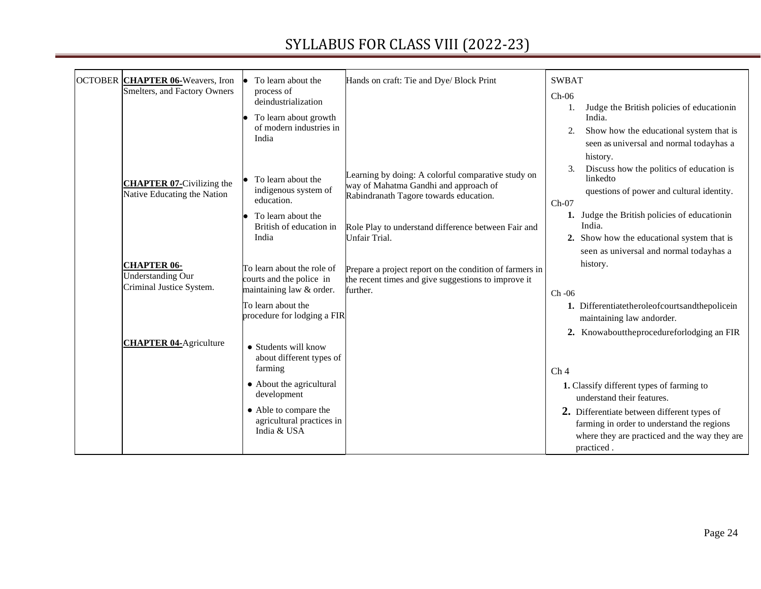| OCTOBER CHAPTER 06-Weavers, Iron                                           | To learn about the                                                                             | Hands on craft: Tie and Dye/ Block Print                                                                                              | <b>SWBAT</b>                                                                                                                                                     |
|----------------------------------------------------------------------------|------------------------------------------------------------------------------------------------|---------------------------------------------------------------------------------------------------------------------------------------|------------------------------------------------------------------------------------------------------------------------------------------------------------------|
| Smelters, and Factory Owners                                               | process of<br>deindustrialization<br>To learn about growth<br>of modern industries in<br>India |                                                                                                                                       | $Ch-06$<br>Judge the British policies of educationin<br>1.<br>India.<br>Show how the educational system that is<br>2.<br>seen as universal and normal todayhas a |
| <b>CHAPTER 07-Civilizing the</b><br>Native Educating the Nation            | To learn about the<br>indigenous system of<br>education.                                       | Learning by doing: A colorful comparative study on<br>way of Mahatma Gandhi and approach of<br>Rabindranath Tagore towards education. | history.<br>Discuss how the politics of education is<br>3.<br>linkedto<br>questions of power and cultural identity.<br>$Ch-07$                                   |
|                                                                            | To learn about the<br>British of education in<br>India                                         | Role Play to understand difference between Fair and<br>Unfair Trial.                                                                  | 1. Judge the British policies of educationin<br>India.<br>2. Show how the educational system that is<br>seen as universal and normal todayhas a                  |
| <b>CHAPTER 06-</b><br><b>Understanding Our</b><br>Criminal Justice System. | To learn about the role of<br>courts and the police in<br>maintaining law & order.             | Prepare a project report on the condition of farmers in<br>the recent times and give suggestions to improve it<br>further.            | history.<br>$Ch-06$                                                                                                                                              |
|                                                                            | To learn about the<br>procedure for lodging a FIR                                              |                                                                                                                                       | 1. Differentiatetheroleofcourtsandthepolicein<br>maintaining law andorder.<br>2. Knowabouttheprocedureforlodging an FIR                                          |
| <b>CHAPTER 04-Agriculture</b>                                              | • Students will know<br>about different types of<br>farming                                    |                                                                                                                                       | Ch <sub>4</sub>                                                                                                                                                  |
|                                                                            | • About the agricultural<br>development                                                        |                                                                                                                                       | 1. Classify different types of farming to<br>understand their features.                                                                                          |
|                                                                            | • Able to compare the<br>agricultural practices in<br>India & USA                              |                                                                                                                                       | 2. Differentiate between different types of<br>farming in order to understand the regions<br>where they are practiced and the way they are<br>practiced.         |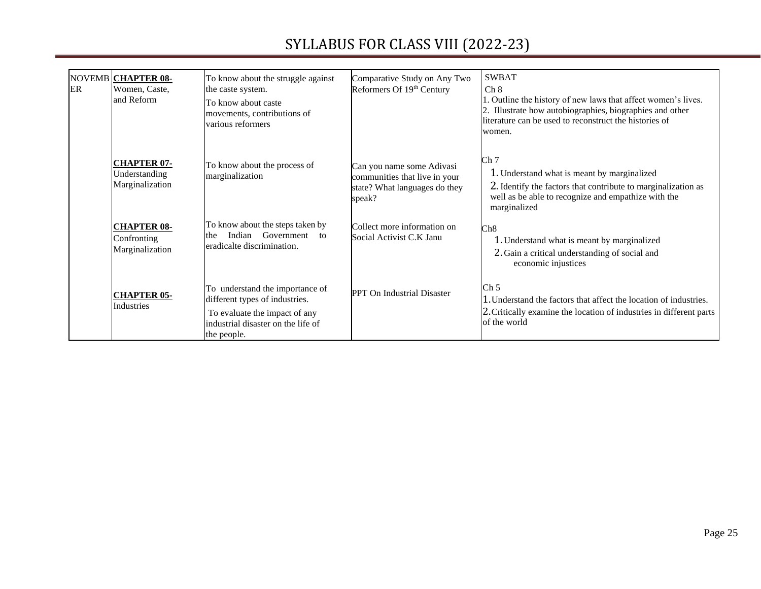| ER | NOVEMB CHAPTER 08-<br>Women, Caste,<br>and Reform      | To know about the struggle against<br>the caste system.<br>To know about caste<br>movements, contributions of<br>various reformers                      | Comparative Study on Any Two<br>Reformers Of 19th Century                                             | <b>SWBAT</b><br>Ch 8<br>1. Outline the history of new laws that affect women's lives.<br>2. Illustrate how autobiographies, biographies and other<br>literature can be used to reconstruct the histories of<br>women. |
|----|--------------------------------------------------------|---------------------------------------------------------------------------------------------------------------------------------------------------------|-------------------------------------------------------------------------------------------------------|-----------------------------------------------------------------------------------------------------------------------------------------------------------------------------------------------------------------------|
|    | <b>CHAPTER 07-</b><br>Understanding<br>Marginalization | To know about the process of<br>marginalization                                                                                                         | Can you name some Adivasi<br>communities that live in your<br>state? What languages do they<br>speak? | Ch 7<br>1. Understand what is meant by marginalized<br>2. Identify the factors that contribute to marginalization as<br>well as be able to recognize and empathize with the<br>marginalized                           |
|    | <b>CHAPTER 08-</b><br>Confronting<br>Marginalization   | To know about the steps taken by<br>Government<br>Indian<br>the<br>to<br>eradicalte discrimination.                                                     | Collect more information on<br>Social Activist C.K Janu                                               | Ch8<br>1. Understand what is meant by marginalized<br>2. Gain a critical understanding of social and<br>economic injustices                                                                                           |
|    | <b>CHAPTER 05-</b><br><b>Industries</b>                | To understand the importance of<br>different types of industries.<br>To evaluate the impact of any<br>industrial disaster on the life of<br>the people. | <b>PPT</b> On Industrial Disaster                                                                     | Ch <sub>5</sub><br>1. Understand the factors that affect the location of industries.<br>2. Critically examine the location of industries in different parts<br>of the world                                           |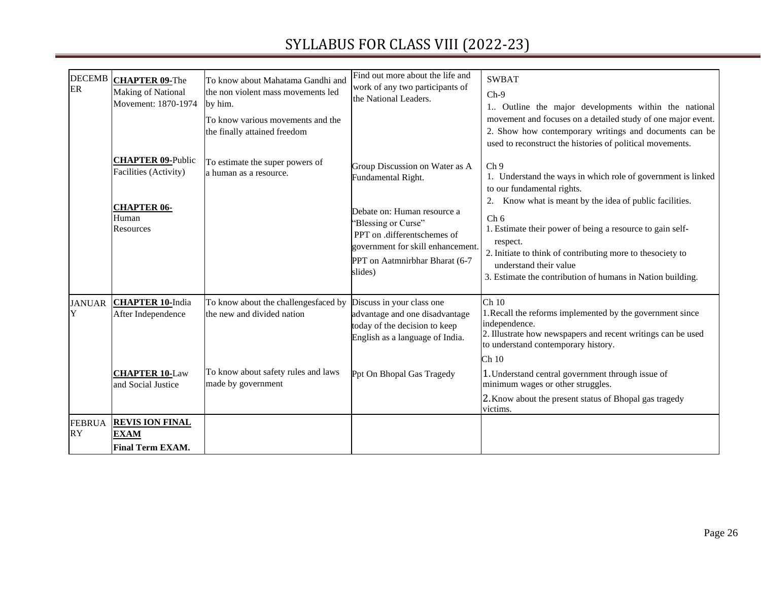| <b>DECEMB</b><br>ER        | <b>CHAPTER 09-The</b><br><b>Making of National</b><br>Movement: 1870-1974                     | To know about Mahatama Gandhi and<br>the non violent mass movements led<br>by him.<br>To know various movements and the<br>the finally attained freedom | Find out more about the life and<br>work of any two participants of<br>the National Leaders.                                                                                                                                | <b>SWBAT</b><br>$Ch-9$<br>1. Outline the major developments within the national<br>movement and focuses on a detailed study of one major event.<br>2. Show how contemporary writings and documents can be<br>used to reconstruct the histories of political movements.                                                                                                                                                         |
|----------------------------|-----------------------------------------------------------------------------------------------|---------------------------------------------------------------------------------------------------------------------------------------------------------|-----------------------------------------------------------------------------------------------------------------------------------------------------------------------------------------------------------------------------|--------------------------------------------------------------------------------------------------------------------------------------------------------------------------------------------------------------------------------------------------------------------------------------------------------------------------------------------------------------------------------------------------------------------------------|
|                            | <b>CHAPTER 09-Public</b><br>Facilities (Activity)<br><b>CHAPTER 06-</b><br>Human<br>Resources | To estimate the super powers of<br>a human as a resource.                                                                                               | Group Discussion on Water as A<br>Fundamental Right.<br>Debate on: Human resource a<br>"Blessing or Curse"<br>PPT on .differentschemes of<br>government for skill enhancement.<br>PPT on Aatmnirbhar Bharat (6-7<br>slides) | Ch <sub>9</sub><br>1. Understand the ways in which role of government is linked<br>to our fundamental rights.<br>Know what is meant by the idea of public facilities.<br>2.<br>Ch <sub>6</sub><br>1. Estimate their power of being a resource to gain self-<br>respect.<br>2. Initiate to think of contributing more to the society to<br>understand their value<br>3. Estimate the contribution of humans in Nation building. |
| <b>JANUAR</b><br>Y         | <b>CHAPTER 10-India</b><br>After Independence                                                 | To know about the challengesfaced by<br>the new and divided nation                                                                                      | Discuss in your class one<br>advantage and one disadvantage<br>today of the decision to keep<br>English as a language of India.                                                                                             | $Ch$ 10<br>1. Recall the reforms implemented by the government since<br>independence.<br>2. Illustrate how newspapers and recent writings can be used<br>to understand contemporary history.<br>Ch 10                                                                                                                                                                                                                          |
|                            | <b>CHAPTER 10-Law</b><br>and Social Justice                                                   | To know about safety rules and laws<br>made by government                                                                                               | Ppt On Bhopal Gas Tragedy                                                                                                                                                                                                   | 1. Understand central government through issue of<br>minimum wages or other struggles.<br>2. Know about the present status of Bhopal gas tragedy<br>victims.                                                                                                                                                                                                                                                                   |
| <b>FEBRUA</b><br><b>RY</b> | <b>REVIS ION FINAL</b><br><b>EXAM</b><br><b>Final Term EXAM.</b>                              |                                                                                                                                                         |                                                                                                                                                                                                                             |                                                                                                                                                                                                                                                                                                                                                                                                                                |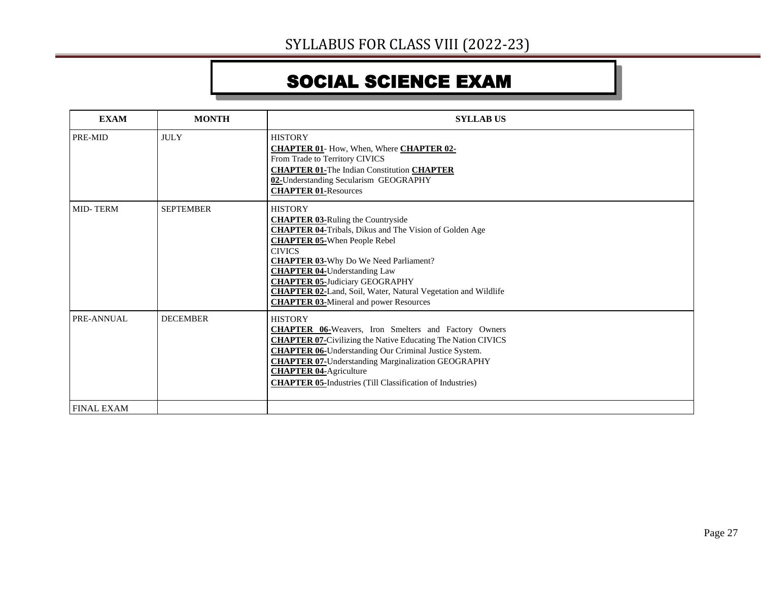# SOCIAL SCIENCE EXAM

| <b>EXAM</b>       | <b>MONTH</b>     | <b>SYLLAB US</b>                                                                                                                                                                                                                                                                                                                                                                                                                             |
|-------------------|------------------|----------------------------------------------------------------------------------------------------------------------------------------------------------------------------------------------------------------------------------------------------------------------------------------------------------------------------------------------------------------------------------------------------------------------------------------------|
| PRE-MID           | <b>JULY</b>      | <b>HISTORY</b><br><b>CHAPTER 01-</b> How, When, Where <b>CHAPTER 02-</b><br>From Trade to Territory CIVICS<br><b>CHAPTER 01-The Indian Constitution CHAPTER</b><br>02-Understanding Secularism GEOGRAPHY<br><b>CHAPTER 01-Resources</b>                                                                                                                                                                                                      |
| <b>MID-TERM</b>   | <b>SEPTEMBER</b> | <b>HISTORY</b><br><b>CHAPTER 03-Ruling the Countryside</b><br><b>CHAPTER 04-Tribals, Dikus and The Vision of Golden Age</b><br><b>CHAPTER 05-When People Rebel</b><br><b>CIVICS</b><br><b>CHAPTER 03-Why Do We Need Parliament?</b><br><b>CHAPTER 04-Understanding Law</b><br><b>CHAPTER 05-Judiciary GEOGRAPHY</b><br><b>CHAPTER 02-Land, Soil, Water, Natural Vegetation and Wildlife</b><br><b>CHAPTER 03-Mineral and power Resources</b> |
| PRE-ANNUAL        | <b>DECEMBER</b>  | <b>HISTORY</b><br><b>CHAPTER 06-</b> Weavers, Iron Smelters and Factory Owners<br><b>CHAPTER 07-Civilizing the Native Educating The Nation CIVICS</b><br><b>CHAPTER 06-Understanding Our Criminal Justice System.</b><br><b>CHAPTER 07-Understanding Marginalization GEOGRAPHY</b><br><b>CHAPTER 04-Agriculture</b><br><b>CHAPTER 05-Industries (Till Classification of Industries)</b>                                                      |
| <b>FINAL EXAM</b> |                  |                                                                                                                                                                                                                                                                                                                                                                                                                                              |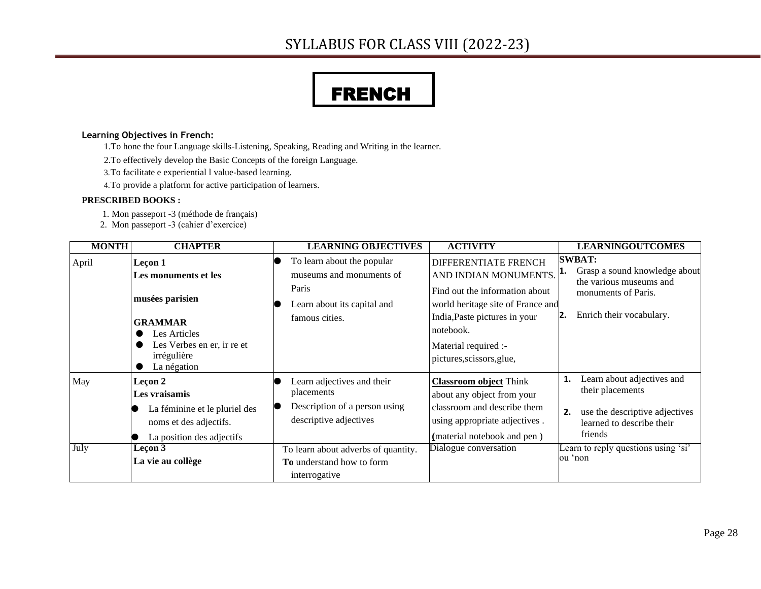# FRENCH

#### **Learning Objectives in French:**

- 1.To hone the four Language skills-Listening, Speaking, Reading and Writing in the learner.
- 2.To effectively develop the Basic Concepts of the foreign Language.
- 3.To facilitate e experiential l value-based learning.
- 4.To provide a platform for active participation of learners.

#### **PRESCRIBED BOOKS :**

- 1. Mon passeport -3 (méthode de français)
- 2. Mon passeport -3 (cahier d'exercice)

| <b>MONTH</b> | <b>CHAPTER</b>                                                                                                   | <b>LEARNING OBJECTIVES</b>                                                                          | <b>ACTIVITY</b>                                                                                                                                                        | <b>LEARNINGOUTCOMES</b>                                                                                                        |
|--------------|------------------------------------------------------------------------------------------------------------------|-----------------------------------------------------------------------------------------------------|------------------------------------------------------------------------------------------------------------------------------------------------------------------------|--------------------------------------------------------------------------------------------------------------------------------|
| April        | Leçon 1<br>Les monuments et les                                                                                  | To learn about the popular<br>museums and monuments of                                              | <b>DIFFERENTIATE FRENCH</b><br>AND INDIAN MONUMENTS.                                                                                                                   | <b>SWBAT:</b><br>Grasp a sound knowledge about<br>1.<br>the various museums and                                                |
|              | musées parisien<br><b>GRAMMAR</b><br>Les Articles<br>Les Verbes en er, ir re et<br>irrégulière<br>La négation    | Paris<br>Learn about its capital and<br>famous cities.                                              | Find out the information about<br>world heritage site of France and<br>India, Paste pictures in your<br>notebook.<br>Material required :-<br>pictures, scissors, glue, | monuments of Paris.<br>Enrich their vocabulary.                                                                                |
| May          | Leçon 2<br>Les vraisamis<br>La féminine et le pluriel des<br>noms et des adjectifs.<br>La position des adjectifs | Learn adjectives and their<br>placements<br>Description of a person using<br>descriptive adjectives | <b>Classroom object Think</b><br>about any object from your<br>classroom and describe them<br>using appropriate adjectives.<br>(material notebook and pen)             | Learn about adjectives and<br>their placements<br>use the descriptive adjectives<br>2.<br>learned to describe their<br>friends |
| July         | Leçon 3<br>La vie au collège                                                                                     | To learn about adverbs of quantity.<br><b>To</b> understand how to form<br>interrogative            | Dialogue conversation                                                                                                                                                  | Learn to reply questions using 'si'<br>ou 'non                                                                                 |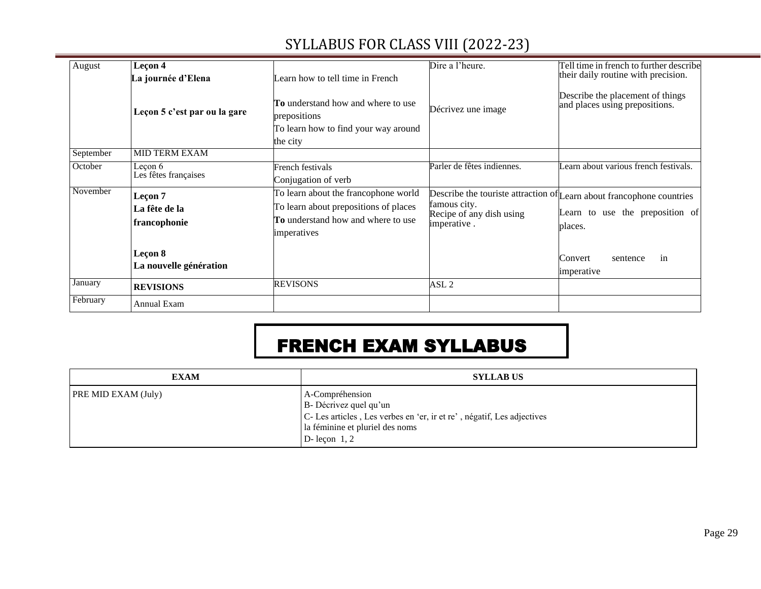| August    | Leçon 4                                  |                                                                                                                                           | Dire a l'heure.                                         | Fell time in french to further describe                                                                             |
|-----------|------------------------------------------|-------------------------------------------------------------------------------------------------------------------------------------------|---------------------------------------------------------|---------------------------------------------------------------------------------------------------------------------|
|           | La journée d'Elena                       | Learn how to tell time in French                                                                                                          |                                                         | their daily routine with precision.                                                                                 |
|           | Leçon 5 c'est par ou la gare             | <b>To</b> understand how and where to use<br>prepositions<br>To learn how to find your way around                                         | Décrivez une image                                      | Describe the placement of things<br>and places using prepositions.                                                  |
|           |                                          | the city                                                                                                                                  |                                                         |                                                                                                                     |
| September | <b>MID TERM EXAM</b>                     |                                                                                                                                           |                                                         |                                                                                                                     |
| October   | Leçon 6<br>Les fêtes françaises          | French festivals<br>Conjugation of verb                                                                                                   | Parler de fêtes indiennes.                              | Learn about various french festivals.                                                                               |
| November  | Leçon 7<br>La fête de la<br>francophonie | To learn about the francophone world<br>To learn about prepositions of places<br><b>To</b> understand how and where to use<br>imperatives | famous city.<br>Recipe of any dish using<br>imperative. | Describe the touriste attraction of Learn about francophone countries<br>Learn to use the preposition of<br>places. |
|           | Leçon 8<br>La nouvelle génération        |                                                                                                                                           |                                                         | Convert<br>in<br>sentence<br>imperative                                                                             |
| January   | <b>REVISIONS</b>                         | <b>REVISONS</b>                                                                                                                           | ASL <sub>2</sub>                                        |                                                                                                                     |
| February  | <b>Annual Exam</b>                       |                                                                                                                                           |                                                         |                                                                                                                     |

# FRENCH EXAM SYLLABUS

| <b>EXAM</b>                | <b>SYLLAB US</b>                                                                                                                                                           |
|----------------------------|----------------------------------------------------------------------------------------------------------------------------------------------------------------------------|
| <b>PRE MID EXAM (July)</b> | A-Compréhension<br>B- Décrivez quel qu'un<br> C- Les articles, Les verbes en 'er, ir et re', négatif, Les adjectives<br>la féminine et pluriel des noms<br>D- leçon $1, 2$ |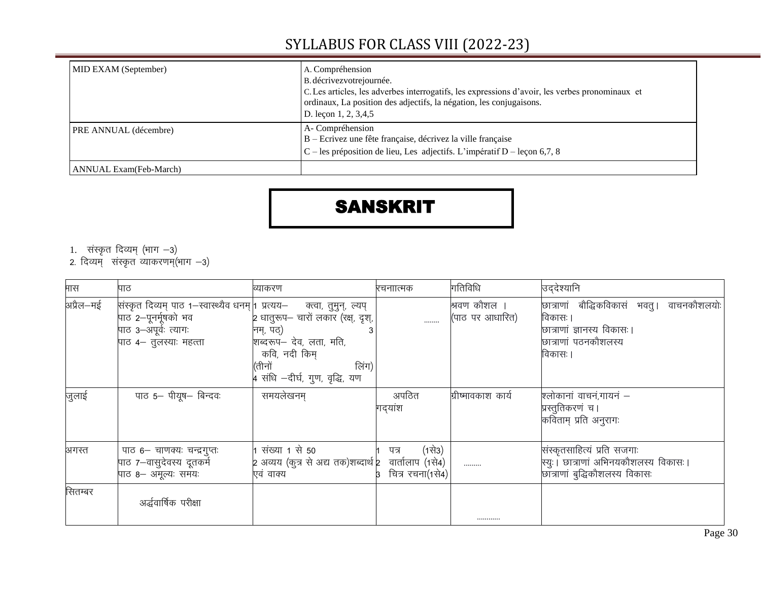| MID EXAM (September)          | A. Compréhension<br>B. décrivez votrejournée.<br>C. Les articles, les adverbes interrogatifs, les expressions d'avoir, les verbes pronominaux et<br>ordinaux, La position des adjectifs, la négation, les conjugaisons.<br>D. leçon 1, 2, 3,4,5 |
|-------------------------------|-------------------------------------------------------------------------------------------------------------------------------------------------------------------------------------------------------------------------------------------------|
| <b>PRE ANNUAL</b> (décembre)  | A-Compréhension<br>B – Ecrivez une fête française, décrivez la ville française<br>$C$ – les préposition de lieu, Les adjectifs. L'impératif D – leçon 6,7, 8                                                                                    |
| <b>ANNUAL Exam(Feb-March)</b> |                                                                                                                                                                                                                                                 |

#### SANSKRIT

- 1. संस्कृत दिव्यम् (भाग -3)
- 2. दिव्यम् संस्कृत व्याकरणम्(भाग —3)

| मास       | पाठ                                                                                                                                               | व्याकरण                                                                                                                                          | रचनाात्मक                                | गतिविधि                         | उद्देश्यानि                                                                                                              |
|-----------|---------------------------------------------------------------------------------------------------------------------------------------------------|--------------------------------------------------------------------------------------------------------------------------------------------------|------------------------------------------|---------------------------------|--------------------------------------------------------------------------------------------------------------------------|
| अप्रैल—मई | सिंस्कृत दिव्यम् पाठ १–स्वास्थ्यैव धनम्   प्रत्यय– क्त्वा, तुमुन्, ल्यप्<br>पाठ 2–पूनर्मूषको भव<br>पाठ ३–अपूर्वः त्यागः<br>पाठ ४– तुलस्याः महत्ता | 2 धातुरूप– चारों लकार (रक्ष, दृश्,<br>नम्, पठ्)<br>शब्दरूप– देव, लता, मति,<br>कवि, नदी किम्<br>लिंग)<br>(तीनों<br>4 संधि -दीर्घ, गुण, वृद्धि, यण | $\ldots$                                 | श्रवण कौशल ।<br>(पाठ पर आधारित) | छात्राणां बौद्धिकविकासं भवतु । वाचनकौशलयोः<br>विकासः ।<br>छात्राणां ज्ञानस्य विकासः।<br>छात्राणां पठनकौशलस्य<br>विकासः । |
| जुलाई     | पाठ 5- पीयूष- बिन्दव:                                                                                                                             | समयलेखनम्                                                                                                                                        | अपठित<br>गद्यांश                         | ग्रीष्मावकाश कार्य              | श्लोकानां वाचन,गायनं –<br>प्रस्तुतिकरणं च।<br>कविताम् प्रति अनुरागः                                                      |
| अगस्त     | पाठ 6– चाणक्यः चन्द्रगुप्तः<br>पाठ 7-वासुदेवस्य दूतकर्म<br>पाठ 8– अमूल्यः समयः                                                                    | 1 संख्या 1 से 50<br>2 अव्यय (कुत्र से अद्य तक)शब्दार्थ 2 वार्तालाप (1से4)  <br>एवं वाक्य                                                         | (1से3)<br>पत्र<br>चित्र रचना(1से4)<br>ß. |                                 | संस्कृतसाहित्यं प्रति सजगाः<br>स्यः । छात्राणां अभिनयकौशलस्य विकासः ।<br>छात्राणां बुद्धिकौशलस्य विकासः                  |
| सितम्बर   | अर्द्धवार्षिक परीक्षा                                                                                                                             |                                                                                                                                                  |                                          |                                 |                                                                                                                          |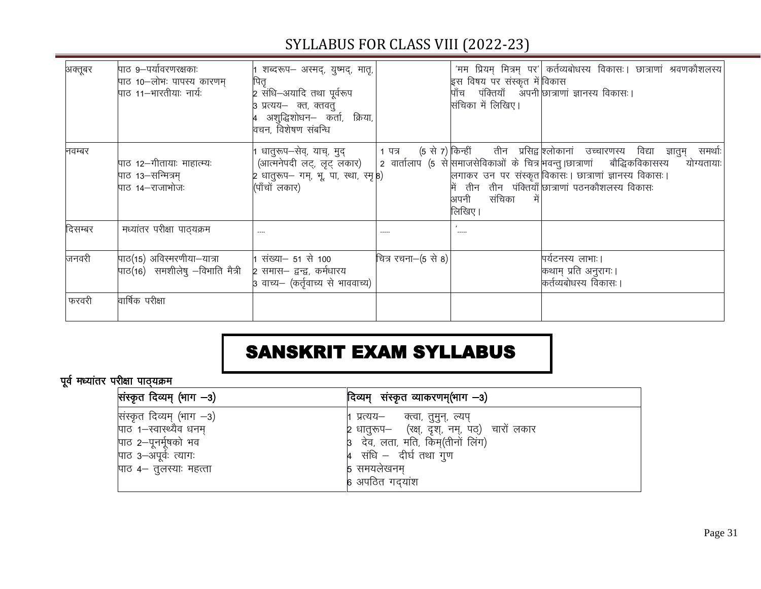#### अक्तूबर पाठ 9-पर्यावरणरक्षकाः पाठ 10-लोभः पापस्य कारणम्  $\frac{1}{\ln 2}$  11–भारतीया: नार्य: शब्दरूप– अस्मद्, युष्मद्, मातृ, पितृ 2 संधि–अयादि तथा पर्वरूप 3 प्रत्यय— क्त, क्तवतु 4 अशुद्धिशोधन– कर्ता, क्रिया, वचन विशेषण संबन्धि 'मम प्रियम् मित्रम् पर' कर्तव्यबोधस्य विकासः । छात्राणां श्रवणकौशलस्य इस विषय पर संस्कृत में $\mathbin\Vert$ पाँच पंक्तियाँ अपनी| |<br>|संचिका में लिखिए। विकास छात्राणां ज्ञानस्य विकासः। नवम्बर पाठ 12 $-$ गीतायाः माहात्म्यः  $\overline{u}$ ाठ 13-सन्मित्रम् पाठ 14 $-$ राजाभोजः धातुरूप–सेव्, याच्, मुद् (आत्मनेपदी लट्, लूट् लंकार) 2 धातुरूप— गम्, भू, पा, स्था, स्मृ $\ket{8}$ (पाँचों लकार) 1 पत्र (5 से 7) किन्ही 2 वार्तालाप (5 से|समाजसेविकाओं के चित्र| किन्हीं तीन प्रसिद्व|श्लोकानां उच्चारणस्य विद्या ज्ञातुम् समर्थाः| लगाकर उन पर संस्कृत|विकासः। छात्राणां ज्ञानस्य विकासः। में तीन तीन पंक्तियाँ|छात्राणां पठनकौशलस्य विकासः अपनी संचिका लिखिए। बौद्धिकविकासस्य योग्यतायाः fnlEcj e/;k arj ijh{kk ikB~;Øe ---- ----- ^----- जनवरी पाठ(15) अविस्मरणीया—यात्रा पाठ(16) समशीलेषु  $-$ विभाति मैत्री संख्या– 51 से 100 2 समास– द्वन्द्व, कर्मधारय .<br>3 वाच्य– (कर्तृवाच्य से भाववाच्य) चित्र रचना $-(5 \text{ R} \cdot \text{B})$  | पर्यटनस्य लाभाः | कथाम् प्रति अनुरागः।  $\sigma$ र्तव्यंबोधस्य विकासः । फरवरी वार्षिक परीक्षा

#### SYLLABUS FOR CLASS VIII (2022-23)

#### SANSKRIT EXAM SYLLABUS

#### पूर्व मध्यांतर परीक्षा पाठ्यक्रम

| सिंस्कृत दिव्यम् (भाग –3) | दिव्यम् संस्कृत व्याकरणम्(भाग –3)              |
|---------------------------|------------------------------------------------|
| संस्कृत दिव्यम् (भाग -3)  | 1 प्रत्यय— क्त्वा, तुमुन्, ल्यप्               |
| पाठ 1-स्वास्थ्यैव धनम्    | 2 धातुरूप– (रक्ष्, दृश्, नम्, पठ्)) चारों लकार |
| पाठ 2-पूनर्मूषको भव       | 3 देव, लता, मति, किम्(तीनों लिंग)              |
| पाठ ३–अपूर्वः त्यागः      | 4 संधि – दीर्घ तथा गुण                         |
| पाठ ४– तुलस्याः महत्ता    | 5 समयलेखनम्                                    |
|                           | 6 अपठित गदयांश                                 |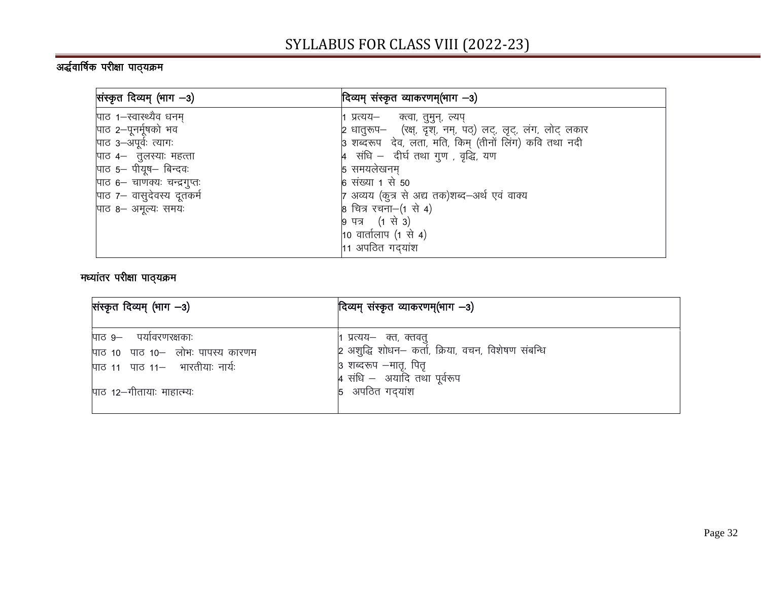#### w)<br>अर्द्धवार्षिक परीक्षा पाठ्यक्रम

| सिंस्कृत दिव्यम् (भाग –3)   | दिव्यम् संस्कृत व्याकरणम्(भाग –3)                            |
|-----------------------------|--------------------------------------------------------------|
| पाठ 1-स्वास्थ्यैव धनम्      | 1 प्रत्यय– व्ह्वा, तुमुन्, ल्यप्                             |
| पाठ 2-पूनर्मूषको भव         | 2 धातुरूप– (रक्ष्, दृश्, नम्, पठ्) लट्, लृट्, लंग, लोट् लकार |
| पाठ ३–अपूर्वः त्यागः        | 3 शब्दरूप देव, लता, मति, किम् (तीनों लिंग) कवि तथा नदी       |
| पाठ ४– तुलस्याः महत्ता      | $\mu$ संधि – दीर्घ तथा गुण, वृद्धि, यण                       |
| पाठ 5- पीयूष- बिन्दवः       | 5 समयलेखनम्                                                  |
| पाठ ६– चाणक्यः चन्द्रगुप्तः | 6 संख्या 1 से 50                                             |
| पाठ 7- वासुदेवस्य दूतकर्म   | 7 अव्यय (कुत्र से अद्य तक)शब्द–अर्थ एवं वाक्य                |
| पाठ 8– अमूल्यः समयः         | 8 चित्र रचना-(1 से 4)                                        |
|                             | 9 पत्र (1 से 3)                                              |
|                             | 10 वार्तालाप $(1 \text{ }\hat{t})$                           |
|                             | $11$ अपठित गद्यांश                                           |

#### मध्यांतर परीक्षा पाठ्*यक्र*म

| सिंस्कृत दिव्यम् (भाग –3)                                                                                                 | दिव्यम् संस्कृत व्याकरणम्(भाग —3)                                                                                                                      |
|---------------------------------------------------------------------------------------------------------------------------|--------------------------------------------------------------------------------------------------------------------------------------------------------|
| पाठ ९– पर्यावरणरक्षकाः<br>पाठ 10 पाठ 10- लोभः पापस्य कारणम<br>पाठ 11 पाठ 11– भारतीयाः नार्यः<br>पाठ १२–गीतायाः माहात्म्यः | 1 प्रत्यय– क्त, क्तवतु<br>2 अशुद्धि शोधन– कर्ता, क्रिया, वचन, विशेषण संबन्धि<br>3 शब्दरूप –मातृ, पितृ<br>4 संधि - अयादि तथा पूर्वरूप<br>5 अपठित गदयांश |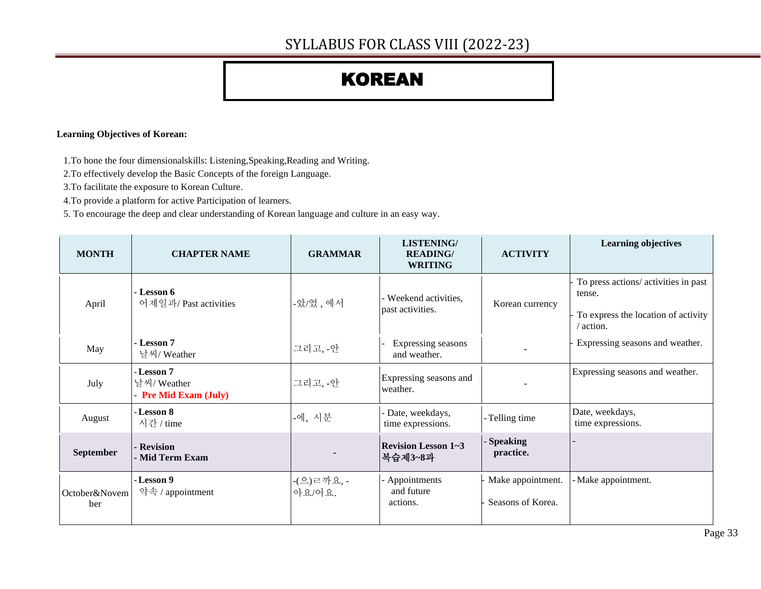# KOREAN

#### **Learning Objectives of Korean:**

1.To hone the four dimensionalskills: Listening,Speaking,Reading and Writing.

2.To effectively develop the Basic Concepts of the foreign Language.

3.To facilitate the exposure to Korean Culture.

4.To provide a platform for active Participation of learners.

5. To encourage the deep and clear understanding of Korean language and culture in an easy way.

| <b>MONTH</b>         | <b>CHAPTER NAME</b>                               | <b>GRAMMAR</b>           | <b>LISTENING/</b><br><b>READING/</b><br><b>WRITING</b> | <b>ACTIVITY</b>                        | <b>Learning objectives</b>                                                                         |
|----------------------|---------------------------------------------------|--------------------------|--------------------------------------------------------|----------------------------------------|----------------------------------------------------------------------------------------------------|
| April                | - Lesson 6<br>어제일과/Past activities                | -았/었, 에서                 | - Weekend activities,<br>past activities.              | Korean currency                        | To press actions/ activities in past<br>tense.<br>To express the location of activity<br>/ action. |
| May                  | - Lesson 7<br>날씨/Weather                          | 그리고, -안                  | Expressing seasons<br>and weather.                     |                                        | Expressing seasons and weather.                                                                    |
| July                 | - Lesson 7<br>날씨/Weather<br>- Pre Mid Exam (July) | 그리고, -안                  | Expressing seasons and<br>weather.                     |                                        | Expressing seasons and weather.                                                                    |
| August               | - Lesson 8<br>시간 / time                           | -에, 시분                   | - Date, weekdays,<br>time expressions.                 | - Telling time                         | Date, weekdays,<br>time expressions.                                                               |
| <b>September</b>     | - Revision<br>- Mid Term Exam                     |                          | <b>Revision Lesson 1~3</b><br>복습제3~8과                  | - Speaking<br>practice.                |                                                                                                    |
| October&Novem<br>ber | - Lesson 9<br>약속 / appointment                    | - $($ 으)ㄹ까요, -<br>아요/어요. | - Appointments<br>and future<br>actions.               | Make appointment.<br>Seasons of Korea. | - Make appointment.                                                                                |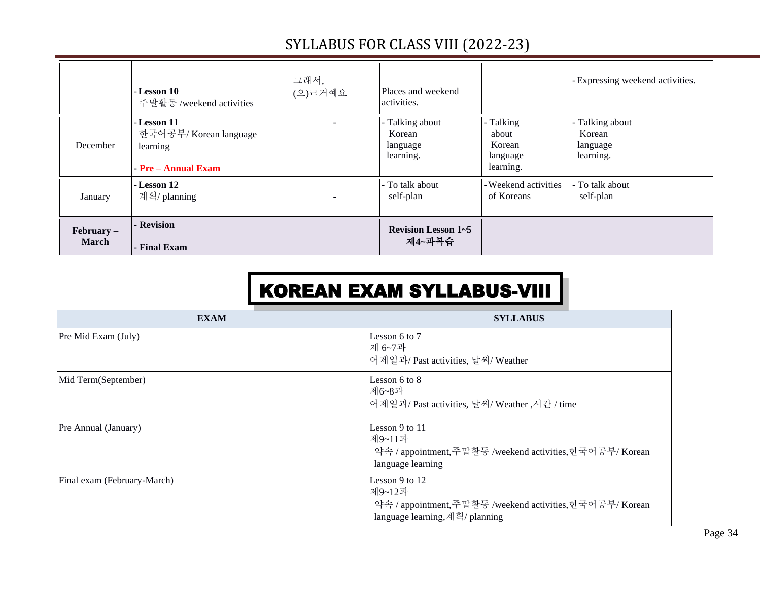|                              | - Lesson 10<br>주말활동/weekend activities                                   | 그래서,<br>(으) 르거예요 | Places and weekend<br>activities.                  |                                                       | - Expressing weekend activities.                   |
|------------------------------|--------------------------------------------------------------------------|------------------|----------------------------------------------------|-------------------------------------------------------|----------------------------------------------------|
| December                     | - Lesson 11<br>한국어공부/Korean language<br>learning<br>$-Pre - Annual Exam$ | $\sim$           | - Talking about<br>Korean<br>language<br>learning. | - Talking<br>about<br>Korean<br>language<br>learning. | - Talking about<br>Korean<br>language<br>learning. |
| January                      | - Lesson 12<br>계획/ planning                                              | $\overline{a}$   | - To talk about<br>self-plan                       | - Weekend activities<br>of Koreans                    | - To talk about<br>self-plan                       |
| $February -$<br><b>March</b> | - Revision<br>- Final Exam                                               |                  | <b>Revision Lesson 1~5</b><br>제4~과복습               |                                                       |                                                    |

# KOREAN EXAM SYLLABUS-VIII

| <b>EXAM</b>                 | <b>SYLLABUS</b>                                                                                                          |
|-----------------------------|--------------------------------------------------------------------------------------------------------------------------|
| Pre Mid Exam (July)         | Lesson 6 to 7<br>제 6~7과<br>어제일과/Past activities, 날씨/Weather                                                              |
| Mid Term(September)         | Lesson 6 to 8<br>제6~8과<br>어제일과/Past activities, 날씨/Weather, 시간 / time                                                    |
| Pre Annual (January)        | Lesson 9 to 11<br>제9~11과<br>약속 / appointment,주말활동 /weekend activities,한국어공부/ Korean<br>language learning                 |
| Final exam (February-March) | Lesson 9 to $12$<br>제9~12과<br>약속 / appointment,주말활동 /weekend activities,한국어공부/ Korean<br>language learning, 계획/ planning |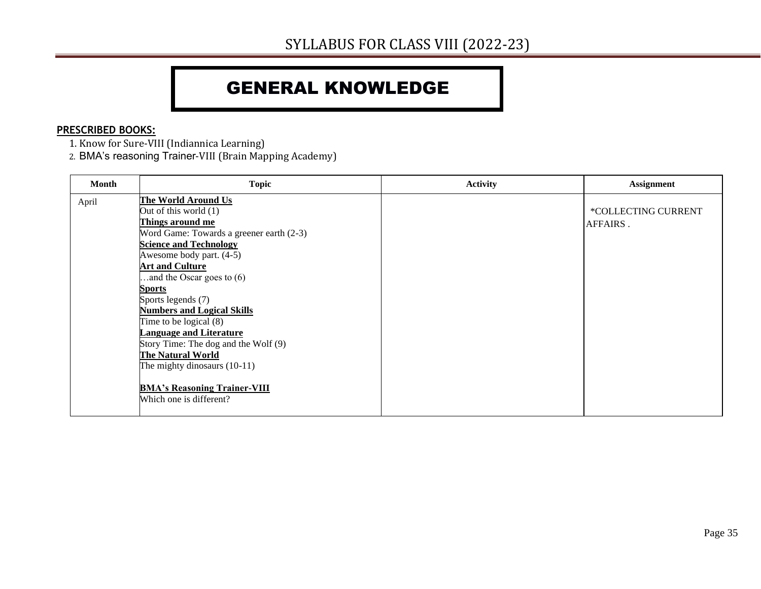#### GENERAL KNOWLEDGE

#### **PRESCRIBED BOOKS:**

- 1. Know for Sure-VIII (Indiannica Learning)
- 2. BMA's reasoning Trainer-VIII (Brain Mapping Academy)

| Month | <b>Topic</b>                                                                                                                                                                                                                                                                                                                                                                                                                                                                                                                                         | <b>Activity</b> | <b>Assignment</b>               |
|-------|------------------------------------------------------------------------------------------------------------------------------------------------------------------------------------------------------------------------------------------------------------------------------------------------------------------------------------------------------------------------------------------------------------------------------------------------------------------------------------------------------------------------------------------------------|-----------------|---------------------------------|
| April | The World Around Us<br>Out of this world (1)<br>Things around me<br>Word Game: Towards a greener earth (2-3)<br><b>Science and Technology</b><br>Awesome body part. (4-5)<br><b>Art and Culture</b><br>and the Oscar goes to $(6)$<br><b>Sports</b><br>Sports legends (7)<br><b>Numbers and Logical Skills</b><br>Time to be logical $(8)$<br><b>Language and Literature</b><br>Story Time: The dog and the Wolf (9)<br><b>The Natural World</b><br>The mighty dinosaurs $(10-11)$<br><b>BMA's Reasoning Trainer-VIII</b><br>Which one is different? |                 | *COLLECTING CURRENT<br>AFFAIRS. |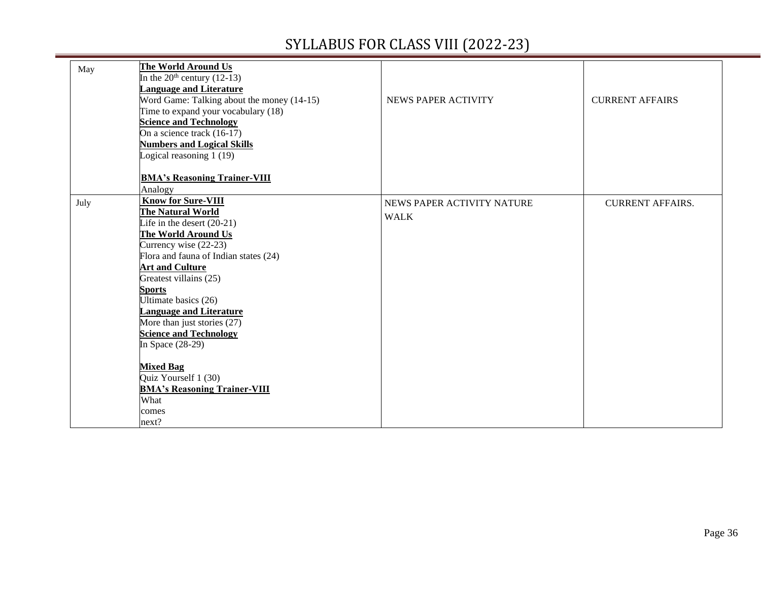═

| May  | The World Around Us<br>In the $20th$ century (12-13)<br><b>Language and Literature</b><br>Word Game: Talking about the money (14-15)<br>Time to expand your vocabulary (18)<br><b>Science and Technology</b><br>On a science track (16-17)<br><b>Numbers and Logical Skills</b><br>Logical reasoning $1(19)$                                                                                 | NEWS PAPER ACTIVITY                       | <b>CURRENT AFFAIRS</b>  |
|------|----------------------------------------------------------------------------------------------------------------------------------------------------------------------------------------------------------------------------------------------------------------------------------------------------------------------------------------------------------------------------------------------|-------------------------------------------|-------------------------|
|      | <b>BMA's Reasoning Trainer-VIII</b><br>Analogy                                                                                                                                                                                                                                                                                                                                               |                                           |                         |
| July | <b>Know for Sure-VIII</b><br>The Natural World<br>Life in the desert $(20-21)$<br>The World Around Us<br>Currency wise (22-23)<br>Flora and fauna of Indian states (24)<br><b>Art and Culture</b><br>Greatest villains (25)<br><b>Sports</b><br>Ultimate basics (26)<br><b>Language and Literature</b><br>More than just stories (27)<br><b>Science and Technology</b><br>In Space $(28-29)$ | NEWS PAPER ACTIVITY NATURE<br><b>WALK</b> | <b>CURRENT AFFAIRS.</b> |
|      | <b>Mixed Bag</b><br>Quiz Yourself 1 (30)<br><b>BMA's Reasoning Trainer-VIII</b><br>What<br>comes<br>next?                                                                                                                                                                                                                                                                                    |                                           |                         |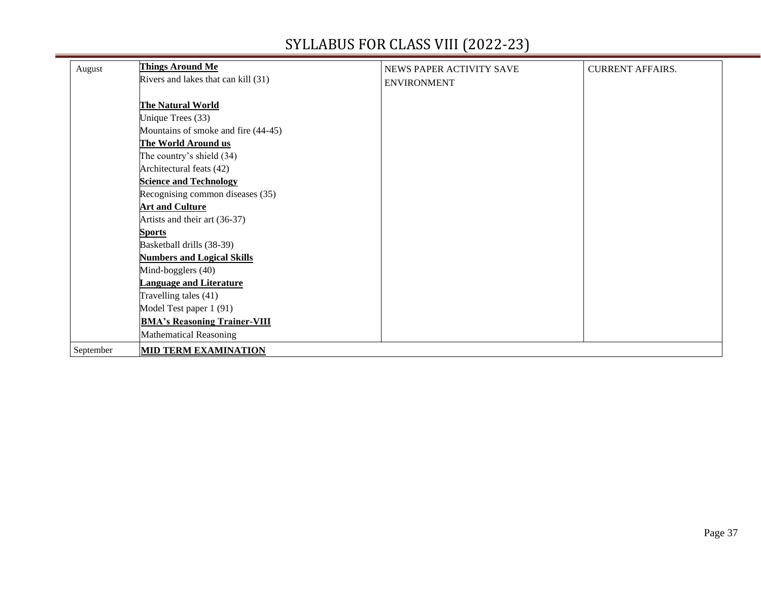| August    | <b>Things Around Me</b>             | NEWS PAPER ACTIVITY SAVE | <b>CURRENT AFFAIRS.</b> |
|-----------|-------------------------------------|--------------------------|-------------------------|
|           | Rivers and lakes that can kill (31) | <b>ENVIRONMENT</b>       |                         |
|           | The Natural World                   |                          |                         |
|           | Unique Trees (33)                   |                          |                         |
|           | Mountains of smoke and fire (44-45) |                          |                         |
|           | <b>The World Around us</b>          |                          |                         |
|           | The country's shield (34)           |                          |                         |
|           | Architectural feats (42)            |                          |                         |
|           | <b>Science and Technology</b>       |                          |                         |
|           | Recognising common diseases (35)    |                          |                         |
|           | <b>Art and Culture</b>              |                          |                         |
|           | Artists and their art (36-37)       |                          |                         |
|           | <b>Sports</b>                       |                          |                         |
|           | Basketball drills (38-39)           |                          |                         |
|           | <b>Numbers and Logical Skills</b>   |                          |                         |
|           | Mind-bogglers (40)                  |                          |                         |
|           | <b>Language and Literature</b>      |                          |                         |
|           | Travelling tales (41)               |                          |                         |
|           | Model Test paper 1 (91)             |                          |                         |
|           | <b>BMA's Reasoning Trainer-VIII</b> |                          |                         |
|           | <b>Mathematical Reasoning</b>       |                          |                         |
| September | <b>MID TERM EXAMINATION</b>         |                          |                         |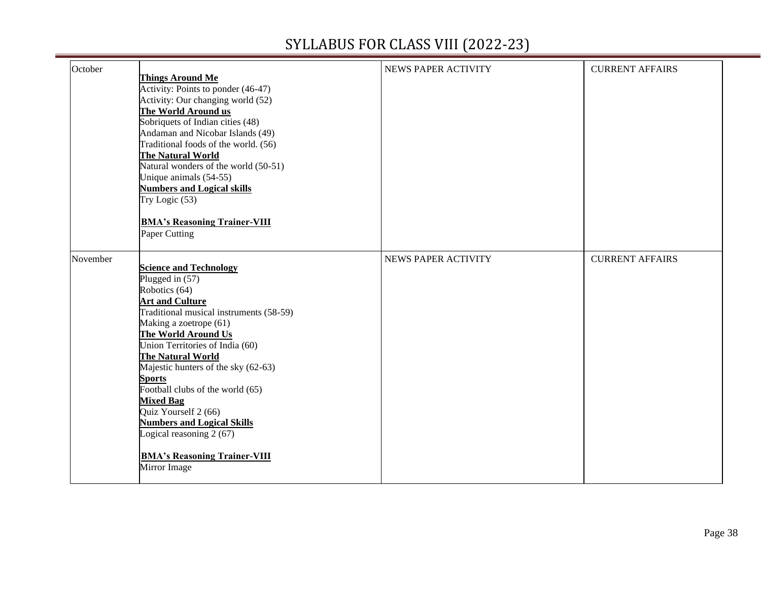| October  | <b>Things Around Me</b><br>Activity: Points to ponder (46-47)<br>Activity: Our changing world (52)<br>The World Around us<br>Sobriquets of Indian cities (48)<br>Andaman and Nicobar Islands (49)<br>Traditional foods of the world. (56)<br>The Natural World<br>Natural wonders of the world (50-51)<br>Unique animals (54-55)<br><b>Numbers and Logical skills</b><br>Try Logic $(53)$                                                                                                                       | NEWS PAPER ACTIVITY        | <b>CURRENT AFFAIRS</b> |
|----------|-----------------------------------------------------------------------------------------------------------------------------------------------------------------------------------------------------------------------------------------------------------------------------------------------------------------------------------------------------------------------------------------------------------------------------------------------------------------------------------------------------------------|----------------------------|------------------------|
|          | <b>BMA's Reasoning Trainer-VIII</b><br>Paper Cutting                                                                                                                                                                                                                                                                                                                                                                                                                                                            |                            |                        |
| November | <b>Science and Technology</b><br>Plugged in (57)<br>Robotics (64)<br><b>Art and Culture</b><br>Traditional musical instruments (58-59)<br>Making a zoetrope (61)<br>The World Around Us<br>Union Territories of India (60)<br>The Natural World<br>Majestic hunters of the sky (62-63)<br><b>Sports</b><br>Football clubs of the world (65)<br><b>Mixed Bag</b><br>Quiz Yourself 2 (66)<br><b>Numbers and Logical Skills</b><br>Logical reasoning 2 (67)<br><b>BMA's Reasoning Trainer-VIII</b><br>Mirror Image | <b>NEWS PAPER ACTIVITY</b> | <b>CURRENT AFFAIRS</b> |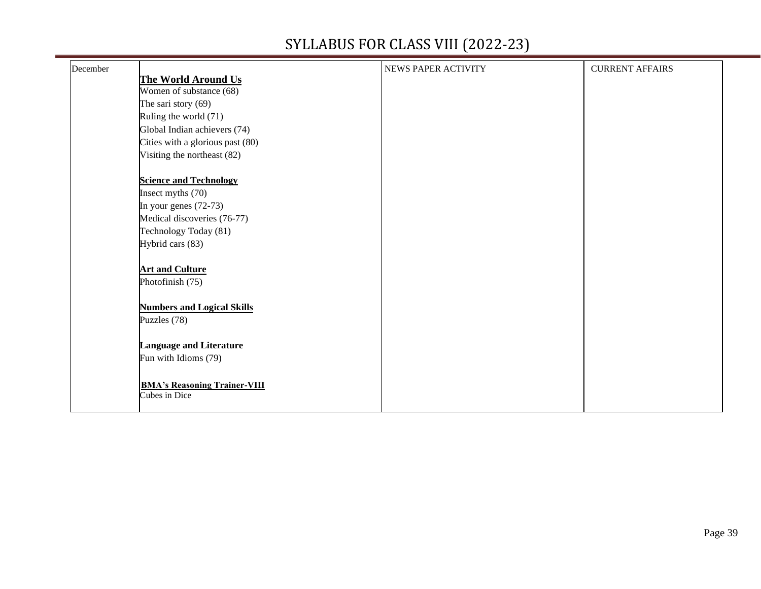| December |                                                      | NEWS PAPER ACTIVITY | <b>CURRENT AFFAIRS</b> |
|----------|------------------------------------------------------|---------------------|------------------------|
|          | The World Around Us                                  |                     |                        |
|          | Women of substance (68)                              |                     |                        |
|          | The sari story $(69)$                                |                     |                        |
|          | Ruling the world (71)                                |                     |                        |
|          | Global Indian achievers (74)                         |                     |                        |
|          | Cities with a glorious past (80)                     |                     |                        |
|          | Visiting the northeast (82)                          |                     |                        |
|          | <b>Science and Technology</b>                        |                     |                        |
|          | Insect myths (70)                                    |                     |                        |
|          | In your genes $(72-73)$                              |                     |                        |
|          | Medical discoveries (76-77)                          |                     |                        |
|          | Technology Today (81)                                |                     |                        |
|          | Hybrid cars (83)                                     |                     |                        |
|          | <b>Art and Culture</b>                               |                     |                        |
|          | Photofinish (75)                                     |                     |                        |
|          | <b>Numbers and Logical Skills</b>                    |                     |                        |
|          | Puzzles (78)                                         |                     |                        |
|          | <b>Language and Literature</b>                       |                     |                        |
|          | Fun with Idioms (79)                                 |                     |                        |
|          | <b>BMA's Reasoning Trainer-VIII</b><br>Cubes in Dice |                     |                        |
|          |                                                      |                     |                        |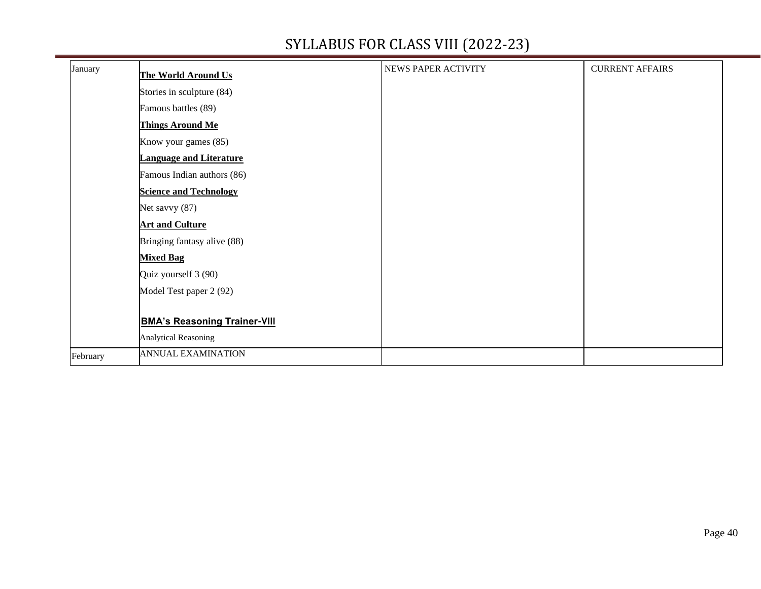| January  | The World Around Us                 | NEWS PAPER ACTIVITY | <b>CURRENT AFFAIRS</b> |
|----------|-------------------------------------|---------------------|------------------------|
|          | Stories in sculpture (84)           |                     |                        |
|          | Famous battles (89)                 |                     |                        |
|          | <b>Things Around Me</b>             |                     |                        |
|          | Know your games (85)                |                     |                        |
|          | <b>Language and Literature</b>      |                     |                        |
|          | Famous Indian authors (86)          |                     |                        |
|          | <b>Science and Technology</b>       |                     |                        |
|          | Net savvy (87)                      |                     |                        |
|          | <b>Art and Culture</b>              |                     |                        |
|          | Bringing fantasy alive (88)         |                     |                        |
|          | <b>Mixed Bag</b>                    |                     |                        |
|          | Quiz yourself 3 (90)                |                     |                        |
|          | Model Test paper 2 (92)             |                     |                        |
|          |                                     |                     |                        |
|          | <b>BMA's Reasoning Trainer-VIII</b> |                     |                        |
|          | <b>Analytical Reasoning</b>         |                     |                        |
| February | <b>ANNUAL EXAMINATION</b>           |                     |                        |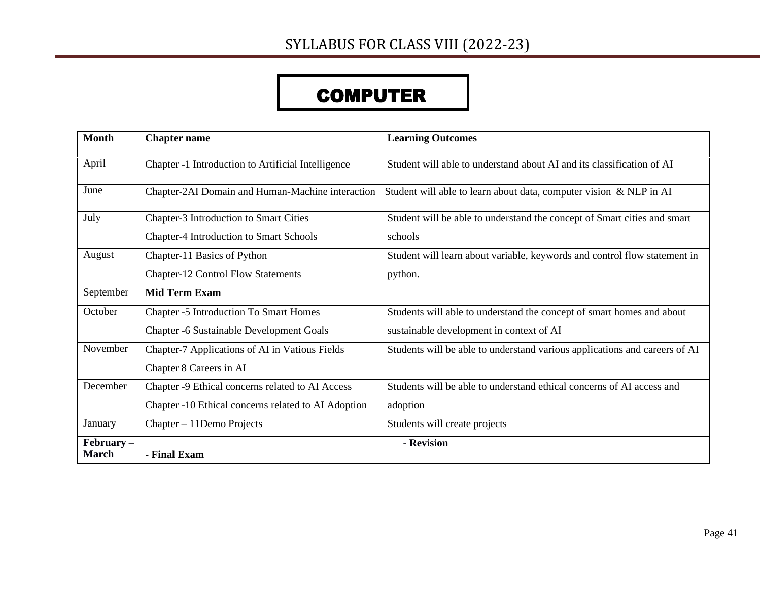# **COMPUTER**

| <b>Month</b>                 | <b>Chapter name</b>                                 | <b>Learning Outcomes</b>                                                   |
|------------------------------|-----------------------------------------------------|----------------------------------------------------------------------------|
| April                        | Chapter -1 Introduction to Artificial Intelligence  | Student will able to understand about AI and its classification of AI      |
| June                         | Chapter-2AI Domain and Human-Machine interaction    | Student will able to learn about data, computer vision & NLP in AI         |
| July                         | Chapter-3 Introduction to Smart Cities              | Student will be able to understand the concept of Smart cities and smart   |
|                              | <b>Chapter-4 Introduction to Smart Schools</b>      | schools                                                                    |
| August                       | Chapter-11 Basics of Python                         | Student will learn about variable, keywords and control flow statement in  |
|                              | <b>Chapter-12 Control Flow Statements</b>           | python.                                                                    |
| September                    | <b>Mid Term Exam</b>                                |                                                                            |
| October                      | <b>Chapter -5 Introduction To Smart Homes</b>       | Students will able to understand the concept of smart homes and about      |
|                              | <b>Chapter -6 Sustainable Development Goals</b>     | sustainable development in context of AI                                   |
| November                     | Chapter-7 Applications of AI in Vatious Fields      | Students will be able to understand various applications and careers of AI |
|                              | Chapter 8 Careers in AI                             |                                                                            |
| December                     | Chapter -9 Ethical concerns related to AI Access    | Students will be able to understand ethical concerns of AI access and      |
|                              | Chapter -10 Ethical concerns related to AI Adoption | adoption                                                                   |
| January                      | Chapter – 11 Demo Projects                          | Students will create projects                                              |
| $February -$<br><b>March</b> | - Final Exam                                        | - Revision                                                                 |